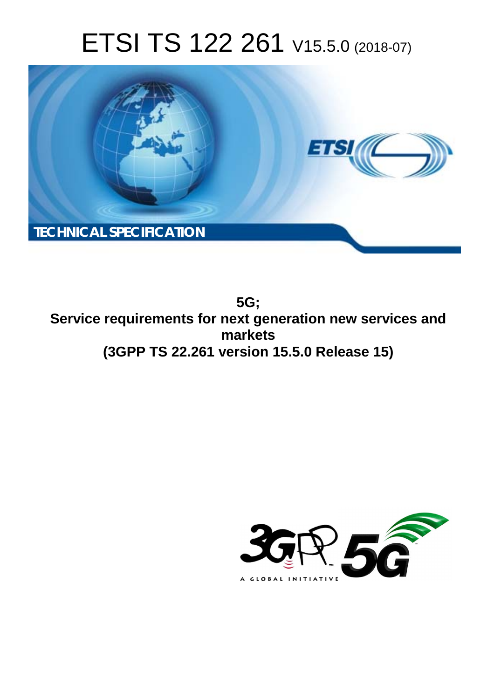# ETSI TS 122 261 V15.5.0 (2018-07)



**5G; Service requirements for next generation new services and markets (3GPP TS 22.261 version 15.5.0 Release 15)** 

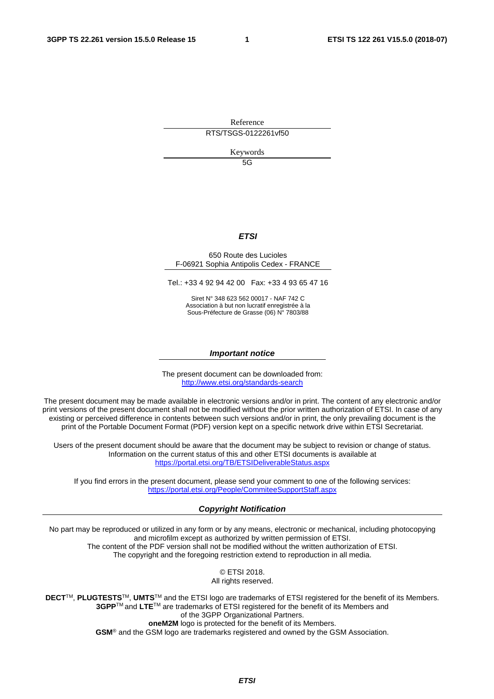Reference RTS/TSGS-0122261vf50

Keywords

 $5G$ 

#### *ETSI*

#### 650 Route des Lucioles F-06921 Sophia Antipolis Cedex - FRANCE

Tel.: +33 4 92 94 42 00 Fax: +33 4 93 65 47 16

Siret N° 348 623 562 00017 - NAF 742 C Association à but non lucratif enregistrée à la Sous-Préfecture de Grasse (06) N° 7803/88

#### *Important notice*

The present document can be downloaded from: <http://www.etsi.org/standards-search>

The present document may be made available in electronic versions and/or in print. The content of any electronic and/or print versions of the present document shall not be modified without the prior written authorization of ETSI. In case of any existing or perceived difference in contents between such versions and/or in print, the only prevailing document is the print of the Portable Document Format (PDF) version kept on a specific network drive within ETSI Secretariat.

Users of the present document should be aware that the document may be subject to revision or change of status. Information on the current status of this and other ETSI documents is available at <https://portal.etsi.org/TB/ETSIDeliverableStatus.aspx>

If you find errors in the present document, please send your comment to one of the following services: <https://portal.etsi.org/People/CommiteeSupportStaff.aspx>

#### *Copyright Notification*

No part may be reproduced or utilized in any form or by any means, electronic or mechanical, including photocopying and microfilm except as authorized by written permission of ETSI. The content of the PDF version shall not be modified without the written authorization of ETSI. The copyright and the foregoing restriction extend to reproduction in all media.

> © ETSI 2018. All rights reserved.

**DECT**TM, **PLUGTESTS**TM, **UMTS**TM and the ETSI logo are trademarks of ETSI registered for the benefit of its Members. **3GPP**TM and **LTE**TM are trademarks of ETSI registered for the benefit of its Members and of the 3GPP Organizational Partners. **oneM2M** logo is protected for the benefit of its Members.

**GSM**® and the GSM logo are trademarks registered and owned by the GSM Association.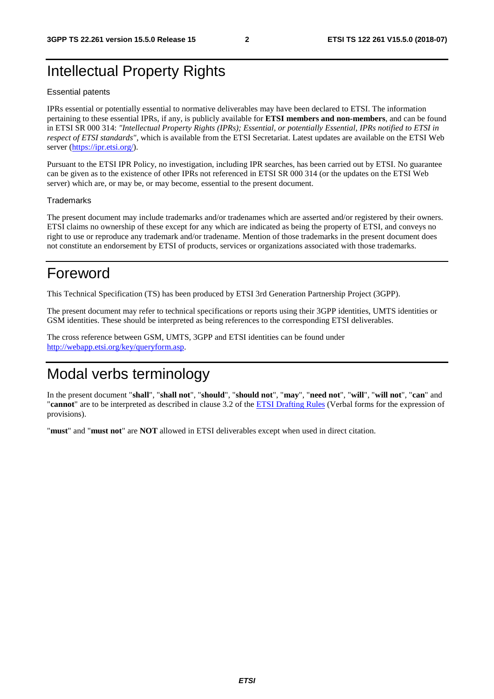## Intellectual Property Rights

#### Essential patents

IPRs essential or potentially essential to normative deliverables may have been declared to ETSI. The information pertaining to these essential IPRs, if any, is publicly available for **ETSI members and non-members**, and can be found in ETSI SR 000 314: *"Intellectual Property Rights (IPRs); Essential, or potentially Essential, IPRs notified to ETSI in respect of ETSI standards"*, which is available from the ETSI Secretariat. Latest updates are available on the ETSI Web server ([https://ipr.etsi.org/\)](https://ipr.etsi.org/).

Pursuant to the ETSI IPR Policy, no investigation, including IPR searches, has been carried out by ETSI. No guarantee can be given as to the existence of other IPRs not referenced in ETSI SR 000 314 (or the updates on the ETSI Web server) which are, or may be, or may become, essential to the present document.

#### **Trademarks**

The present document may include trademarks and/or tradenames which are asserted and/or registered by their owners. ETSI claims no ownership of these except for any which are indicated as being the property of ETSI, and conveys no right to use or reproduce any trademark and/or tradename. Mention of those trademarks in the present document does not constitute an endorsement by ETSI of products, services or organizations associated with those trademarks.

## Foreword

This Technical Specification (TS) has been produced by ETSI 3rd Generation Partnership Project (3GPP).

The present document may refer to technical specifications or reports using their 3GPP identities, UMTS identities or GSM identities. These should be interpreted as being references to the corresponding ETSI deliverables.

The cross reference between GSM, UMTS, 3GPP and ETSI identities can be found under [http://webapp.etsi.org/key/queryform.asp.](http://webapp.etsi.org/key/queryform.asp)

## Modal verbs terminology

In the present document "**shall**", "**shall not**", "**should**", "**should not**", "**may**", "**need not**", "**will**", "**will not**", "**can**" and "**cannot**" are to be interpreted as described in clause 3.2 of the [ETSI Drafting Rules](https://portal.etsi.org/Services/editHelp!/Howtostart/ETSIDraftingRules.aspx) (Verbal forms for the expression of provisions).

"**must**" and "**must not**" are **NOT** allowed in ETSI deliverables except when used in direct citation.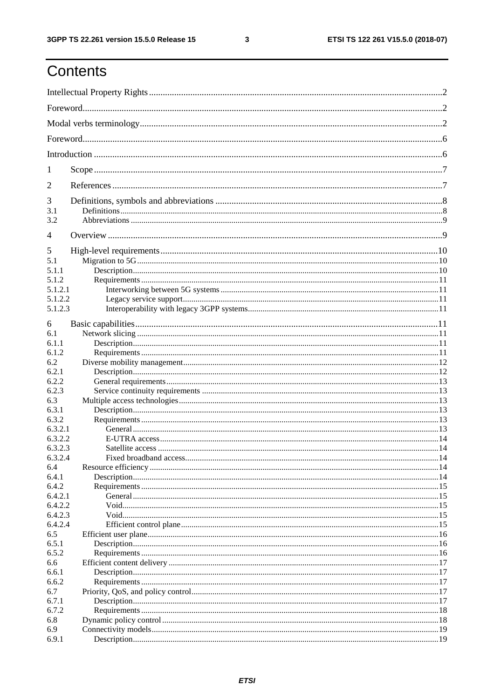## Contents

| 1                  |  |  |  |  |
|--------------------|--|--|--|--|
| $\overline{2}$     |  |  |  |  |
| 3                  |  |  |  |  |
| 3.1                |  |  |  |  |
| 3.2                |  |  |  |  |
| 4                  |  |  |  |  |
| 5                  |  |  |  |  |
| 5.1                |  |  |  |  |
| 5.1.1              |  |  |  |  |
| 5.1.2              |  |  |  |  |
| 5.1.2.1            |  |  |  |  |
| 5.1.2.2            |  |  |  |  |
| 5.1.2.3            |  |  |  |  |
| 6                  |  |  |  |  |
| 6.1                |  |  |  |  |
| 6.1.1              |  |  |  |  |
| 6.1.2              |  |  |  |  |
| 6.2                |  |  |  |  |
| 6.2.1              |  |  |  |  |
| 6.2.2              |  |  |  |  |
| 6.2.3              |  |  |  |  |
| 6.3                |  |  |  |  |
| 6.3.1              |  |  |  |  |
| 6.3.2              |  |  |  |  |
|                    |  |  |  |  |
| 6.3.2.1            |  |  |  |  |
| 6.3.2.2            |  |  |  |  |
| 6.3.2.3<br>6.3.2.4 |  |  |  |  |
| 6.4                |  |  |  |  |
| 6.4.1              |  |  |  |  |
| 6.4.2              |  |  |  |  |
| 6.4.2.1            |  |  |  |  |
| 6.4.2.2            |  |  |  |  |
| 6.4.2.3            |  |  |  |  |
| 6.4.2.4            |  |  |  |  |
| 6.5                |  |  |  |  |
| 6.5.1              |  |  |  |  |
| 6.5.2              |  |  |  |  |
| 6.6                |  |  |  |  |
| 6.6.1              |  |  |  |  |
| 6.6.2              |  |  |  |  |
| 6.7                |  |  |  |  |
| 6.7.1              |  |  |  |  |
| 6.7.2              |  |  |  |  |
| 6.8                |  |  |  |  |
| 6.9                |  |  |  |  |
| 6.9.1              |  |  |  |  |
|                    |  |  |  |  |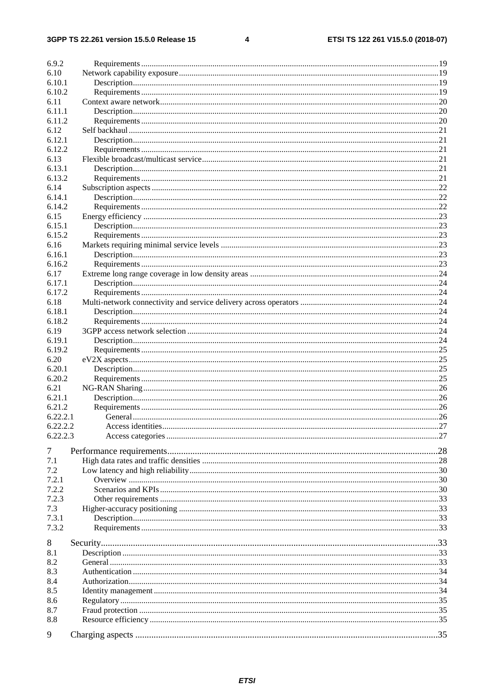$\overline{\mathbf{4}}$ 

| 6.9.2    |  |
|----------|--|
| 6.10     |  |
| 6.10.1   |  |
| 6.10.2   |  |
| 6.11     |  |
| 6.11.1   |  |
| 6.11.2   |  |
| 6.12     |  |
| 6.12.1   |  |
| 6.12.2   |  |
| 6.13     |  |
| 6.13.1   |  |
| 6.13.2   |  |
| 6.14     |  |
| 6.14.1   |  |
| 6.14.2   |  |
| 6.15     |  |
| 6.15.1   |  |
| 6.15.2   |  |
| 6.16     |  |
| 6.16.1   |  |
| 6.16.2   |  |
| 6.17     |  |
| 6.17.1   |  |
| 6.17.2   |  |
| 6.18     |  |
| 6.18.1   |  |
| 6.18.2   |  |
| 6.19     |  |
| 6.19.1   |  |
| 6.19.2   |  |
| 6.20     |  |
| 6.20.1   |  |
| 6.20.2   |  |
| 6.21     |  |
| 6.21.1   |  |
| 6.21.2   |  |
| 6.22.2.1 |  |
| 6.22.2.2 |  |
| 6.22.2.3 |  |
|          |  |
| 7        |  |
| 7.1      |  |
| 7.2      |  |
| 7.2.1    |  |
| 7.2.2    |  |
| 7.2.3    |  |
| 7.3      |  |
| 7.3.1    |  |
| 7.3.2    |  |
| 8        |  |
| 8.1      |  |
| 8.2      |  |
| 8.3      |  |
| 8.4      |  |
| 8.5      |  |
| 8.6      |  |
| 8.7      |  |
| 8.8      |  |
|          |  |
| 9        |  |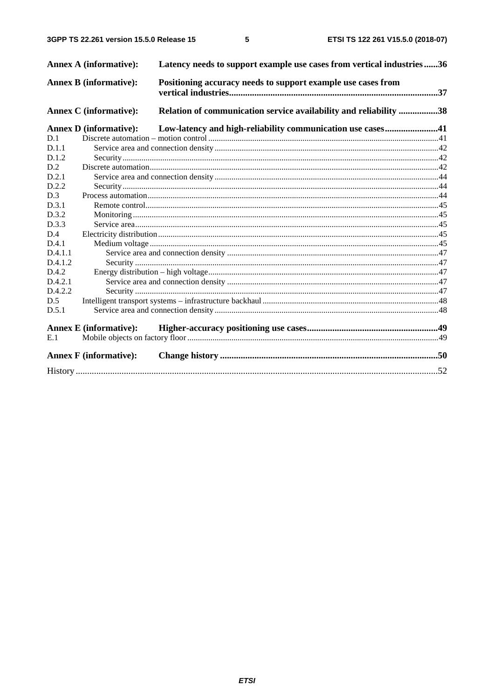$5\phantom{a}$ 

|         | <b>Annex A (informative):</b> | Latency needs to support example use cases from vertical industries36 |  |
|---------|-------------------------------|-----------------------------------------------------------------------|--|
|         | <b>Annex B</b> (informative): | Positioning accuracy needs to support example use cases from          |  |
|         | <b>Annex C</b> (informative): | Relation of communication service availability and reliability 38     |  |
|         | <b>Annex D</b> (informative): | Low-latency and high-reliability communication use cases41            |  |
| D.1     |                               |                                                                       |  |
| D.1.1   |                               |                                                                       |  |
| D.1.2   |                               |                                                                       |  |
| D.2     |                               |                                                                       |  |
| D.2.1   |                               |                                                                       |  |
| D.2.2   |                               |                                                                       |  |
| D.3     |                               |                                                                       |  |
| D.3.1   |                               |                                                                       |  |
| D.3.2   |                               |                                                                       |  |
| D.3.3   |                               |                                                                       |  |
| D.4     |                               |                                                                       |  |
| D.4.1   |                               |                                                                       |  |
| D.4.1.1 |                               |                                                                       |  |
| D.4.1.2 |                               |                                                                       |  |
| D.4.2   |                               |                                                                       |  |
| D.4.2.1 |                               |                                                                       |  |
| D.4.2.2 |                               |                                                                       |  |
| D.5     |                               |                                                                       |  |
| D.5.1   |                               |                                                                       |  |
|         | <b>Annex E</b> (informative): |                                                                       |  |
| E.1     |                               |                                                                       |  |
|         | <b>Annex F</b> (informative): |                                                                       |  |
|         |                               |                                                                       |  |
|         |                               |                                                                       |  |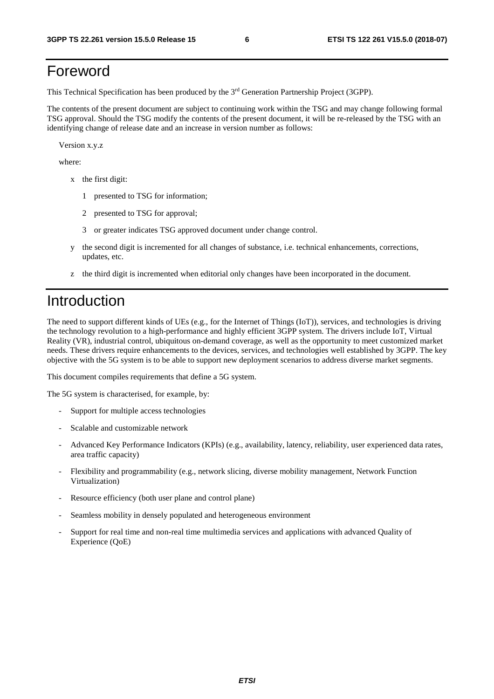## Foreword

This Technical Specification has been produced by the 3rd Generation Partnership Project (3GPP).

The contents of the present document are subject to continuing work within the TSG and may change following formal TSG approval. Should the TSG modify the contents of the present document, it will be re-released by the TSG with an identifying change of release date and an increase in version number as follows:

Version x.y.z

where:

- x the first digit:
	- 1 presented to TSG for information;
	- 2 presented to TSG for approval;
	- 3 or greater indicates TSG approved document under change control.
- y the second digit is incremented for all changes of substance, i.e. technical enhancements, corrections, updates, etc.
- z the third digit is incremented when editorial only changes have been incorporated in the document.

## Introduction

The need to support different kinds of UEs (e.g., for the Internet of Things (IoT)), services, and technologies is driving the technology revolution to a high-performance and highly efficient 3GPP system. The drivers include IoT, Virtual Reality (VR), industrial control, ubiquitous on-demand coverage, as well as the opportunity to meet customized market needs. These drivers require enhancements to the devices, services, and technologies well established by 3GPP. The key objective with the 5G system is to be able to support new deployment scenarios to address diverse market segments.

This document compiles requirements that define a 5G system.

The 5G system is characterised, for example, by:

- Support for multiple access technologies
- Scalable and customizable network
- Advanced Key Performance Indicators (KPIs) (e.g., availability, latency, reliability, user experienced data rates, area traffic capacity)
- Flexibility and programmability (e.g., network slicing, diverse mobility management, Network Function Virtualization)
- Resource efficiency (both user plane and control plane)
- Seamless mobility in densely populated and heterogeneous environment
- Support for real time and non-real time multimedia services and applications with advanced Quality of Experience (QoE)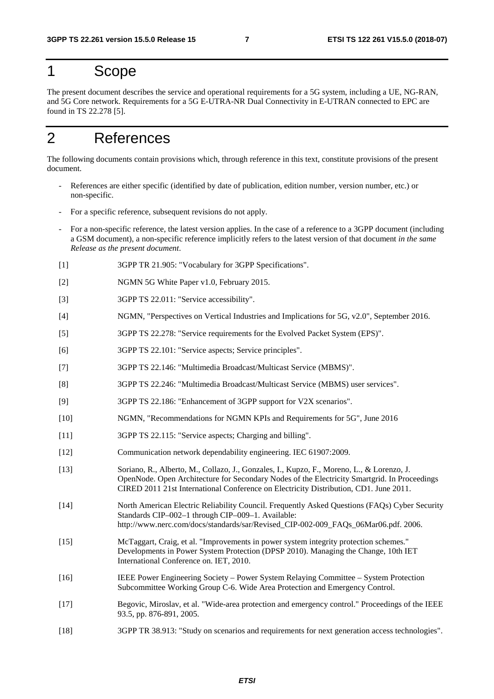## 1 Scope

The present document describes the service and operational requirements for a 5G system, including a UE, NG-RAN, and 5G Core network. Requirements for a 5G E-UTRA-NR Dual Connectivity in E-UTRAN connected to EPC are found in TS 22.278 [5].

## 2 References

The following documents contain provisions which, through reference in this text, constitute provisions of the present document.

- References are either specific (identified by date of publication, edition number, version number, etc.) or non-specific.
- For a specific reference, subsequent revisions do not apply.
- For a non-specific reference, the latest version applies. In the case of a reference to a 3GPP document (including a GSM document), a non-specific reference implicitly refers to the latest version of that document *in the same Release as the present document*.
- [1] 3GPP TR 21.905: "Vocabulary for 3GPP Specifications".
- [2] NGMN 5G White Paper v1.0, February 2015.
- [3] 3GPP TS 22.011: "Service accessibility".
- [4] NGMN, "Perspectives on Vertical Industries and Implications for 5G, v2.0", September 2016.
- [5] 3GPP TS 22.278: "Service requirements for the Evolved Packet System (EPS)".
- [6] 3GPP TS 22.101: "Service aspects; Service principles".
- [7] 3GPP TS 22.146: "Multimedia Broadcast/Multicast Service (MBMS)".
- [8] 3GPP TS 22.246: "Multimedia Broadcast/Multicast Service (MBMS) user services".
- [9] 3GPP TS 22.186: "Enhancement of 3GPP support for V2X scenarios".
- [10] NGMN, "Recommendations for NGMN KPIs and Requirements for 5G", June 2016
- [11] 3GPP TS 22.115: "Service aspects; Charging and billing".
- [12] Communication network dependability engineering. IEC 61907:2009.
- [13] Soriano, R., Alberto, M., Collazo, J., Gonzales, I., Kupzo, F., Moreno, L., & Lorenzo, J. OpenNode. Open Architecture for Secondary Nodes of the Electricity Smartgrid. In Proceedings CIRED 2011 21st International Conference on Electricity Distribution, CD1. June 2011.
- [14] North American Electric Reliability Council. Frequently Asked Questions (FAQs) Cyber Security Standards CIP–002–1 through CIP–009–1. Available: http://www.nerc.com/docs/standards/sar/Revised\_CIP-002-009\_FAQs\_06Mar06.pdf. 2006.
- [15] McTaggart, Craig, et al. "Improvements in power system integrity protection schemes." Developments in Power System Protection (DPSP 2010). Managing the Change, 10th IET International Conference on. IET, 2010.
- [16] IEEE Power Engineering Society Power System Relaying Committee System Protection Subcommittee Working Group C-6. Wide Area Protection and Emergency Control.
- [17] Begovic, Miroslav, et al. "Wide-area protection and emergency control." Proceedings of the IEEE 93.5, pp. 876-891, 2005.
- [18] 3GPP TR 38.913: "Study on scenarios and requirements for next generation access technologies".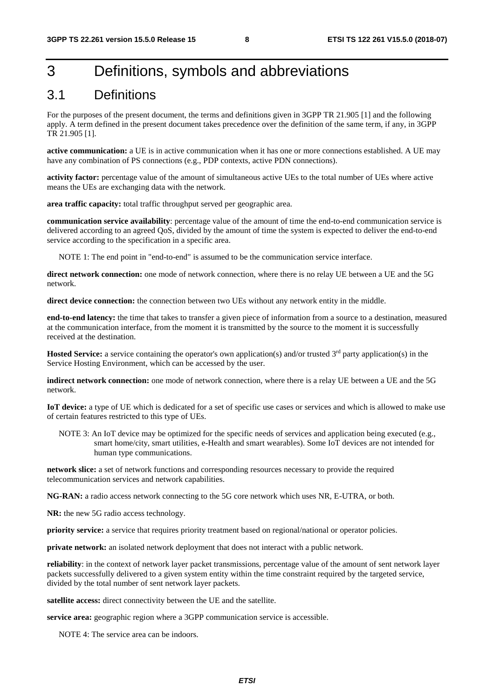## 3 Definitions, symbols and abbreviations

## 3.1 Definitions

For the purposes of the present document, the terms and definitions given in 3GPP TR 21.905 [1] and the following apply. A term defined in the present document takes precedence over the definition of the same term, if any, in 3GPP TR 21.905 [1].

**active communication:** a UE is in active communication when it has one or more connections established. A UE may have any combination of PS connections (e.g., PDP contexts, active PDN connections).

**activity factor:** percentage value of the amount of simultaneous active UEs to the total number of UEs where active means the UEs are exchanging data with the network.

**area traffic capacity:** total traffic throughput served per geographic area.

**communication service availability**: percentage value of the amount of time the end-to-end communication service is delivered according to an agreed QoS, divided by the amount of time the system is expected to deliver the end-to-end service according to the specification in a specific area.

NOTE 1: The end point in "end-to-end" is assumed to be the communication service interface.

**direct network connection:** one mode of network connection, where there is no relay UE between a UE and the 5G network.

**direct device connection:** the connection between two UEs without any network entity in the middle.

**end-to-end latency:** the time that takes to transfer a given piece of information from a source to a destination, measured at the communication interface, from the moment it is transmitted by the source to the moment it is successfully received at the destination.

**Hosted Service:** a service containing the operator's own application(s) and/or trusted 3<sup>rd</sup> party application(s) in the Service Hosting Environment, which can be accessed by the user.

**indirect network connection:** one mode of network connection, where there is a relay UE between a UE and the 5G network.

**IoT device:** a type of UE which is dedicated for a set of specific use cases or services and which is allowed to make use of certain features restricted to this type of UEs.

NOTE 3: An IoT device may be optimized for the specific needs of services and application being executed (e.g., smart home/city, smart utilities, e-Health and smart wearables). Some IoT devices are not intended for human type communications.

**network slice:** a set of network functions and corresponding resources necessary to provide the required telecommunication services and network capabilities.

**NG-RAN:** a radio access network connecting to the 5G core network which uses NR, E-UTRA, or both.

**NR:** the new 5G radio access technology.

**priority service:** a service that requires priority treatment based on regional/national or operator policies.

**private network:** an isolated network deployment that does not interact with a public network.

**reliability**: in the context of network layer packet transmissions, percentage value of the amount of sent network layer packets successfully delivered to a given system entity within the time constraint required by the targeted service, divided by the total number of sent network layer packets.

**satellite access:** direct connectivity between the UE and the satellite.

**service area:** geographic region where a 3GPP communication service is accessible.

NOTE 4: The service area can be indoors.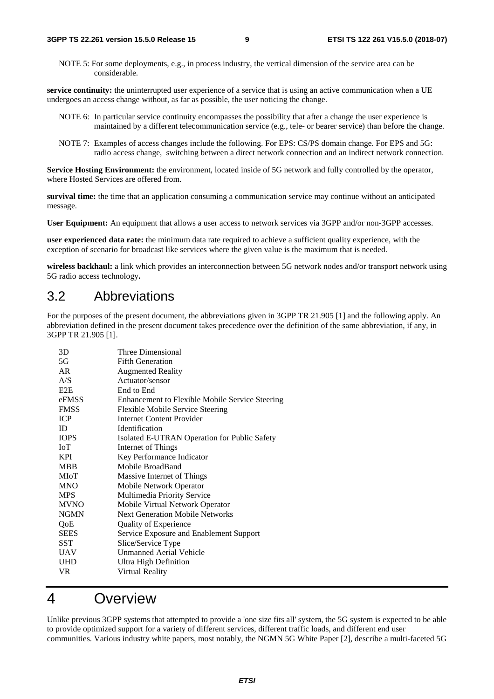NOTE 5: For some deployments, e.g., in process industry, the vertical dimension of the service area can be considerable.

**service continuity:** the uninterrupted user experience of a service that is using an active communication when a UE undergoes an access change without, as far as possible, the user noticing the change.

- NOTE 6: In particular service continuity encompasses the possibility that after a change the user experience is maintained by a different telecommunication service (e.g., tele- or bearer service) than before the change.
- NOTE 7: Examples of access changes include the following. For EPS: CS/PS domain change. For EPS and 5G: radio access change, switching between a direct network connection and an indirect network connection.

**Service Hosting Environment:** the environment, located inside of 5G network and fully controlled by the operator, where Hosted Services are offered from.

**survival time:** the time that an application consuming a communication service may continue without an anticipated message.

**User Equipment:** An equipment that allows a user access to network services via 3GPP and/or non-3GPP accesses.

**user experienced data rate:** the minimum data rate required to achieve a sufficient quality experience, with the exception of scenario for broadcast like services where the given value is the maximum that is needed.

**wireless backhaul:** a link which provides an interconnection between 5G network nodes and/or transport network using 5G radio access technology**.** 

## 3.2 Abbreviations

For the purposes of the present document, the abbreviations given in 3GPP TR 21.905 [1] and the following apply. An abbreviation defined in the present document takes precedence over the definition of the same abbreviation, if any, in 3GPP TR 21.905 [1].

| 3D               | Three Dimensional                               |
|------------------|-------------------------------------------------|
| 5G               | <b>Fifth Generation</b>                         |
| AR               | <b>Augmented Reality</b>                        |
| A/S              | Actuator/sensor                                 |
| E <sub>2</sub> E | End to End                                      |
| eFMSS            | Enhancement to Flexible Mobile Service Steering |
| <b>FMSS</b>      | Flexible Mobile Service Steering                |
| <b>ICP</b>       | <b>Internet Content Provider</b>                |
| ID               | <b>Identification</b>                           |
| <b>IOPS</b>      | Isolated E-UTRAN Operation for Public Safety    |
| IoT              | Internet of Things                              |
| <b>KPI</b>       | Key Performance Indicator                       |
| <b>MBB</b>       | Mobile BroadBand                                |
| MIoT             | Massive Internet of Things                      |
| <b>MNO</b>       | Mobile Network Operator                         |
| <b>MPS</b>       | Multimedia Priority Service                     |
| <b>MVNO</b>      | Mobile Virtual Network Operator                 |
| <b>NGMN</b>      | <b>Next Generation Mobile Networks</b>          |
| QoE              | <b>Quality of Experience</b>                    |
| <b>SEES</b>      | Service Exposure and Enablement Support         |
| SST              | Slice/Service Type                              |
| <b>UAV</b>       | Unmanned Aerial Vehicle                         |
| <b>UHD</b>       | Ultra High Definition                           |
| VR.              | Virtual Reality                                 |
|                  |                                                 |

## 4 Overview

Unlike previous 3GPP systems that attempted to provide a 'one size fits all' system, the 5G system is expected to be able to provide optimized support for a variety of different services, different traffic loads, and different end user communities. Various industry white papers, most notably, the NGMN 5G White Paper [2], describe a multi-faceted 5G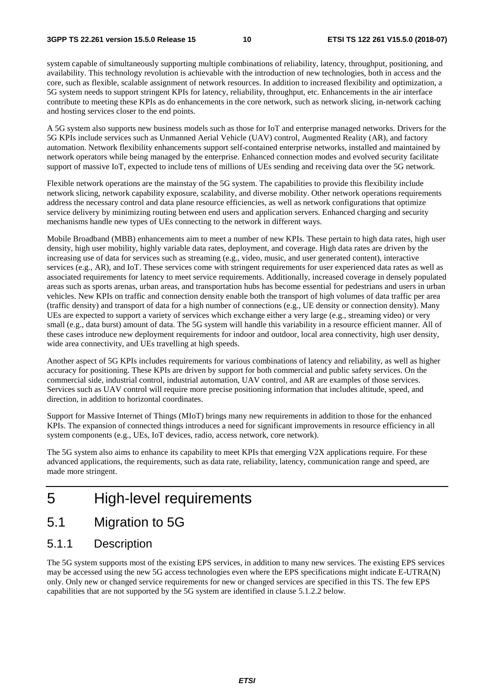system capable of simultaneously supporting multiple combinations of reliability, latency, throughput, positioning, and availability. This technology revolution is achievable with the introduction of new technologies, both in access and the core, such as flexible, scalable assignment of network resources. In addition to increased flexibility and optimization, a 5G system needs to support stringent KPIs for latency, reliability, throughput, etc. Enhancements in the air interface contribute to meeting these KPIs as do enhancements in the core network, such as network slicing, in-network caching and hosting services closer to the end points.

A 5G system also supports new business models such as those for IoT and enterprise managed networks. Drivers for the 5G KPIs include services such as Unmanned Aerial Vehicle (UAV) control, Augmented Reality (AR), and factory automation. Network flexibility enhancements support self-contained enterprise networks, installed and maintained by network operators while being managed by the enterprise. Enhanced connection modes and evolved security facilitate support of massive IoT, expected to include tens of millions of UEs sending and receiving data over the 5G network.

Flexible network operations are the mainstay of the 5G system. The capabilities to provide this flexibility include network slicing, network capability exposure, scalability, and diverse mobility. Other network operations requirements address the necessary control and data plane resource efficiencies, as well as network configurations that optimize service delivery by minimizing routing between end users and application servers. Enhanced charging and security mechanisms handle new types of UEs connecting to the network in different ways.

Mobile Broadband (MBB) enhancements aim to meet a number of new KPIs. These pertain to high data rates, high user density, high user mobility, highly variable data rates, deployment, and coverage. High data rates are driven by the increasing use of data for services such as streaming (e.g., video, music, and user generated content), interactive services (e.g., AR), and IoT. These services come with stringent requirements for user experienced data rates as well as associated requirements for latency to meet service requirements. Additionally, increased coverage in densely populated areas such as sports arenas, urban areas, and transportation hubs has become essential for pedestrians and users in urban vehicles. New KPIs on traffic and connection density enable both the transport of high volumes of data traffic per area (traffic density) and transport of data for a high number of connections (e.g., UE density or connection density). Many UEs are expected to support a variety of services which exchange either a very large (e.g., streaming video) or very small (e.g., data burst) amount of data. The 5G system will handle this variability in a resource efficient manner. All of these cases introduce new deployment requirements for indoor and outdoor, local area connectivity, high user density, wide area connectivity, and UEs travelling at high speeds.

Another aspect of 5G KPIs includes requirements for various combinations of latency and reliability, as well as higher accuracy for positioning. These KPIs are driven by support for both commercial and public safety services. On the commercial side, industrial control, industrial automation, UAV control, and AR are examples of those services. Services such as UAV control will require more precise positioning information that includes altitude, speed, and direction, in addition to horizontal coordinates.

Support for Massive Internet of Things (MIoT) brings many new requirements in addition to those for the enhanced KPIs. The expansion of connected things introduces a need for significant improvements in resource efficiency in all system components (e.g., UEs, IoT devices, radio, access network, core network).

The 5G system also aims to enhance its capability to meet KPIs that emerging V2X applications require. For these advanced applications, the requirements, such as data rate, reliability, latency, communication range and speed, are made more stringent.

## 5 High-level requirements

5.1 Migration to 5G

### 5.1.1 Description

The 5G system supports most of the existing EPS services, in addition to many new services. The existing EPS services may be accessed using the new 5G access technologies even where the EPS specifications might indicate E-UTRA(N) only. Only new or changed service requirements for new or changed services are specified in this TS. The few EPS capabilities that are not supported by the 5G system are identified in clause 5.1.2.2 below.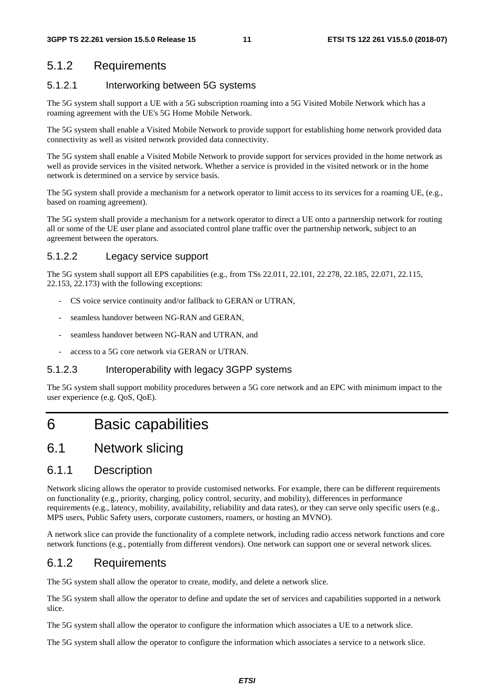## 5.1.2 Requirements

#### 5.1.2.1 Interworking between 5G systems

The 5G system shall support a UE with a 5G subscription roaming into a 5G Visited Mobile Network which has a roaming agreement with the UE's 5G Home Mobile Network.

The 5G system shall enable a Visited Mobile Network to provide support for establishing home network provided data connectivity as well as visited network provided data connectivity.

The 5G system shall enable a Visited Mobile Network to provide support for services provided in the home network as well as provide services in the visited network. Whether a service is provided in the visited network or in the home network is determined on a service by service basis.

The 5G system shall provide a mechanism for a network operator to limit access to its services for a roaming UE, (e.g., based on roaming agreement).

The 5G system shall provide a mechanism for a network operator to direct a UE onto a partnership network for routing all or some of the UE user plane and associated control plane traffic over the partnership network, subject to an agreement between the operators.

#### 5.1.2.2 Legacy service support

The 5G system shall support all EPS capabilities (e.g., from TSs 22.011, 22.101, 22.278, 22.185, 22.071, 22.115, 22.153, 22.173) with the following exceptions:

- CS voice service continuity and/or fallback to GERAN or UTRAN,
- seamless handover between NG-RAN and GERAN,
- seamless handover between NG-RAN and UTRAN, and
- access to a 5G core network via GERAN or UTRAN.

#### 5.1.2.3 Interoperability with legacy 3GPP systems

The 5G system shall support mobility procedures between a 5G core network and an EPC with minimum impact to the user experience (e.g. QoS, QoE).

## 6 Basic capabilities

## 6.1 Network slicing

### 6.1.1 Description

Network slicing allows the operator to provide customised networks. For example, there can be different requirements on functionality (e.g., priority, charging, policy control, security, and mobility), differences in performance requirements (e.g., latency, mobility, availability, reliability and data rates), or they can serve only specific users (e.g., MPS users, Public Safety users, corporate customers, roamers, or hosting an MVNO).

A network slice can provide the functionality of a complete network, including radio access network functions and core network functions (e.g., potentially from different vendors). One network can support one or several network slices.

### 6.1.2 Requirements

The 5G system shall allow the operator to create, modify, and delete a network slice.

The 5G system shall allow the operator to define and update the set of services and capabilities supported in a network slice.

The 5G system shall allow the operator to configure the information which associates a UE to a network slice.

The 5G system shall allow the operator to configure the information which associates a service to a network slice.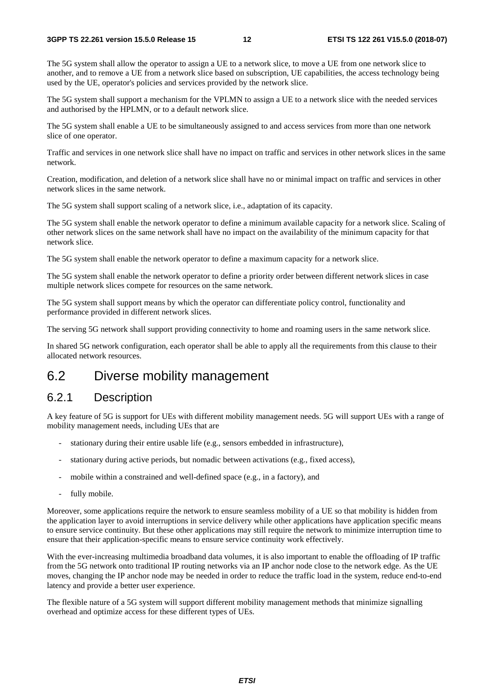The 5G system shall allow the operator to assign a UE to a network slice, to move a UE from one network slice to another, and to remove a UE from a network slice based on subscription, UE capabilities, the access technology being used by the UE, operator's policies and services provided by the network slice.

The 5G system shall support a mechanism for the VPLMN to assign a UE to a network slice with the needed services and authorised by the HPLMN, or to a default network slice.

The 5G system shall enable a UE to be simultaneously assigned to and access services from more than one network slice of one operator.

Traffic and services in one network slice shall have no impact on traffic and services in other network slices in the same network.

Creation, modification, and deletion of a network slice shall have no or minimal impact on traffic and services in other network slices in the same network.

The 5G system shall support scaling of a network slice, i.e., adaptation of its capacity.

The 5G system shall enable the network operator to define a minimum available capacity for a network slice. Scaling of other network slices on the same network shall have no impact on the availability of the minimum capacity for that network slice.

The 5G system shall enable the network operator to define a maximum capacity for a network slice.

The 5G system shall enable the network operator to define a priority order between different network slices in case multiple network slices compete for resources on the same network.

The 5G system shall support means by which the operator can differentiate policy control, functionality and performance provided in different network slices.

The serving 5G network shall support providing connectivity to home and roaming users in the same network slice.

In shared 5G network configuration, each operator shall be able to apply all the requirements from this clause to their allocated network resources.

## 6.2 Diverse mobility management

## 6.2.1 Description

A key feature of 5G is support for UEs with different mobility management needs. 5G will support UEs with a range of mobility management needs, including UEs that are

- stationary during their entire usable life (e.g., sensors embedded in infrastructure),
- stationary during active periods, but nomadic between activations (e.g., fixed access),
- mobile within a constrained and well-defined space (e.g., in a factory), and
- fully mobile.

Moreover, some applications require the network to ensure seamless mobility of a UE so that mobility is hidden from the application layer to avoid interruptions in service delivery while other applications have application specific means to ensure service continuity. But these other applications may still require the network to minimize interruption time to ensure that their application-specific means to ensure service continuity work effectively.

With the ever-increasing multimedia broadband data volumes, it is also important to enable the offloading of IP traffic from the 5G network onto traditional IP routing networks via an IP anchor node close to the network edge. As the UE moves, changing the IP anchor node may be needed in order to reduce the traffic load in the system, reduce end-to-end latency and provide a better user experience.

The flexible nature of a 5G system will support different mobility management methods that minimize signalling overhead and optimize access for these different types of UEs.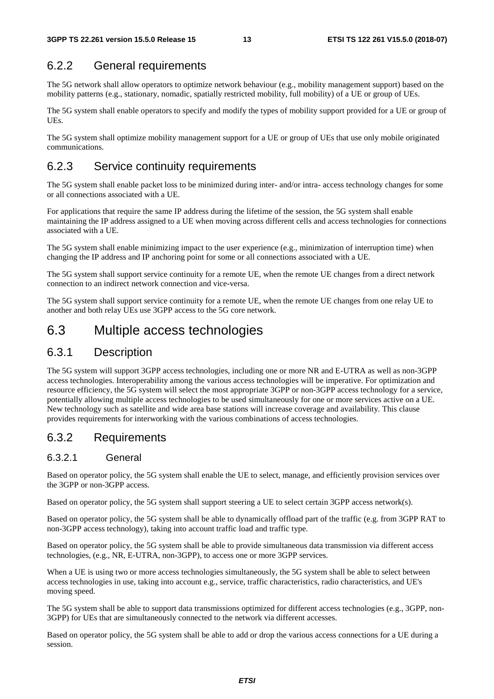## 6.2.2 General requirements

The 5G network shall allow operators to optimize network behaviour (e.g., mobility management support) based on the mobility patterns (e.g., stationary, nomadic, spatially restricted mobility, full mobility) of a UE or group of UEs.

The 5G system shall enable operators to specify and modify the types of mobility support provided for a UE or group of UEs.

The 5G system shall optimize mobility management support for a UE or group of UEs that use only mobile originated communications.

## 6.2.3 Service continuity requirements

The 5G system shall enable packet loss to be minimized during inter- and/or intra- access technology changes for some or all connections associated with a UE.

For applications that require the same IP address during the lifetime of the session, the 5G system shall enable maintaining the IP address assigned to a UE when moving across different cells and access technologies for connections associated with a UE.

The 5G system shall enable minimizing impact to the user experience (e.g., minimization of interruption time) when changing the IP address and IP anchoring point for some or all connections associated with a UE.

The 5G system shall support service continuity for a remote UE, when the remote UE changes from a direct network connection to an indirect network connection and vice-versa.

The 5G system shall support service continuity for a remote UE, when the remote UE changes from one relay UE to another and both relay UEs use 3GPP access to the 5G core network.

## 6.3 Multiple access technologies

#### 6.3.1 Description

The 5G system will support 3GPP access technologies, including one or more NR and E-UTRA as well as non-3GPP access technologies. Interoperability among the various access technologies will be imperative. For optimization and resource efficiency, the 5G system will select the most appropriate 3GPP or non-3GPP access technology for a service, potentially allowing multiple access technologies to be used simultaneously for one or more services active on a UE. New technology such as satellite and wide area base stations will increase coverage and availability. This clause provides requirements for interworking with the various combinations of access technologies.

#### 6.3.2 Requirements

#### 6.3.2.1 General

Based on operator policy, the 5G system shall enable the UE to select, manage, and efficiently provision services over the 3GPP or non-3GPP access.

Based on operator policy, the 5G system shall support steering a UE to select certain 3GPP access network(s).

Based on operator policy, the 5G system shall be able to dynamically offload part of the traffic (e.g. from 3GPP RAT to non-3GPP access technology), taking into account traffic load and traffic type.

Based on operator policy, the 5G system shall be able to provide simultaneous data transmission via different access technologies, (e.g., NR, E-UTRA, non-3GPP), to access one or more 3GPP services.

When a UE is using two or more access technologies simultaneously, the 5G system shall be able to select between access technologies in use, taking into account e.g., service, traffic characteristics, radio characteristics, and UE's moving speed.

The 5G system shall be able to support data transmissions optimized for different access technologies (e.g., 3GPP, non-3GPP) for UEs that are simultaneously connected to the network via different accesses.

Based on operator policy, the 5G system shall be able to add or drop the various access connections for a UE during a session.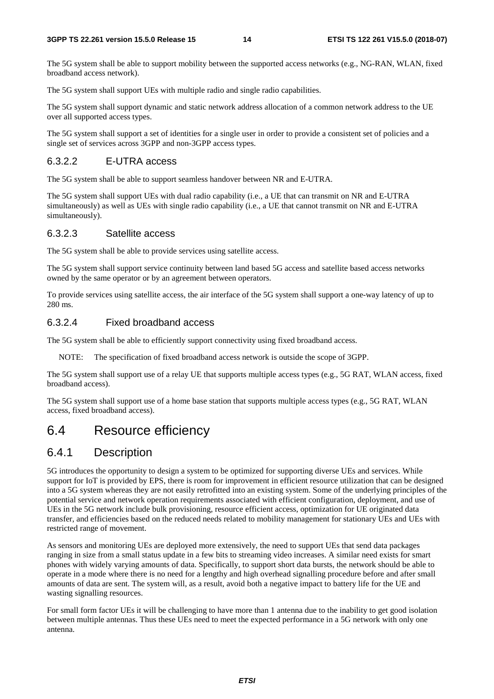The 5G system shall be able to support mobility between the supported access networks (e.g., NG-RAN, WLAN, fixed broadband access network).

The 5G system shall support UEs with multiple radio and single radio capabilities.

The 5G system shall support dynamic and static network address allocation of a common network address to the UE over all supported access types.

The 5G system shall support a set of identities for a single user in order to provide a consistent set of policies and a single set of services across 3GPP and non-3GPP access types.

#### 6.3.2.2 E-UTRA access

The 5G system shall be able to support seamless handover between NR and E-UTRA.

The 5G system shall support UEs with dual radio capability (i.e., a UE that can transmit on NR and E-UTRA simultaneously) as well as UEs with single radio capability (i.e., a UE that cannot transmit on NR and E-UTRA simultaneously).

#### 6.3.2.3 Satellite access

The 5G system shall be able to provide services using satellite access.

The 5G system shall support service continuity between land based 5G access and satellite based access networks owned by the same operator or by an agreement between operators.

To provide services using satellite access, the air interface of the 5G system shall support a one-way latency of up to 280 ms.

#### 6.3.2.4 Fixed broadband access

The 5G system shall be able to efficiently support connectivity using fixed broadband access.

NOTE: The specification of fixed broadband access network is outside the scope of 3GPP.

The 5G system shall support use of a relay UE that supports multiple access types (e.g., 5G RAT, WLAN access, fixed broadband access).

The 5G system shall support use of a home base station that supports multiple access types (e.g., 5G RAT, WLAN access, fixed broadband access).

## 6.4 Resource efficiency

### 6.4.1 Description

5G introduces the opportunity to design a system to be optimized for supporting diverse UEs and services. While support for IoT is provided by EPS, there is room for improvement in efficient resource utilization that can be designed into a 5G system whereas they are not easily retrofitted into an existing system. Some of the underlying principles of the potential service and network operation requirements associated with efficient configuration, deployment, and use of UEs in the 5G network include bulk provisioning, resource efficient access, optimization for UE originated data transfer, and efficiencies based on the reduced needs related to mobility management for stationary UEs and UEs with restricted range of movement.

As sensors and monitoring UEs are deployed more extensively, the need to support UEs that send data packages ranging in size from a small status update in a few bits to streaming video increases. A similar need exists for smart phones with widely varying amounts of data. Specifically, to support short data bursts, the network should be able to operate in a mode where there is no need for a lengthy and high overhead signalling procedure before and after small amounts of data are sent. The system will, as a result, avoid both a negative impact to battery life for the UE and wasting signalling resources.

For small form factor UEs it will be challenging to have more than 1 antenna due to the inability to get good isolation between multiple antennas. Thus these UEs need to meet the expected performance in a 5G network with only one antenna.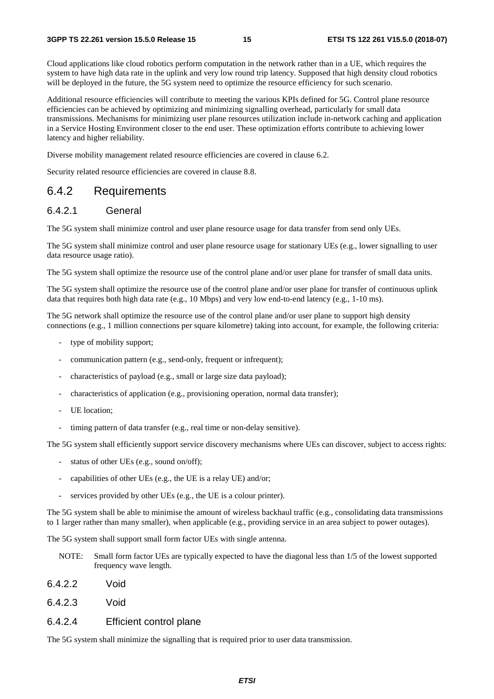Cloud applications like cloud robotics perform computation in the network rather than in a UE, which requires the system to have high data rate in the uplink and very low round trip latency. Supposed that high density cloud robotics will be deployed in the future, the 5G system need to optimize the resource efficiency for such scenario.

Additional resource efficiencies will contribute to meeting the various KPIs defined for 5G. Control plane resource efficiencies can be achieved by optimizing and minimizing signalling overhead, particularly for small data transmissions. Mechanisms for minimizing user plane resources utilization include in-network caching and application in a Service Hosting Environment closer to the end user. These optimization efforts contribute to achieving lower latency and higher reliability.

Diverse mobility management related resource efficiencies are covered in clause 6.2.

Security related resource efficiencies are covered in clause 8.8.

### 6.4.2 Requirements

#### 6.4.2.1 General

The 5G system shall minimize control and user plane resource usage for data transfer from send only UEs.

The 5G system shall minimize control and user plane resource usage for stationary UEs (e.g., lower signalling to user data resource usage ratio).

The 5G system shall optimize the resource use of the control plane and/or user plane for transfer of small data units.

The 5G system shall optimize the resource use of the control plane and/or user plane for transfer of continuous uplink data that requires both high data rate (e.g., 10 Mbps) and very low end-to-end latency (e.g., 1-10 ms).

The 5G network shall optimize the resource use of the control plane and/or user plane to support high density connections (e.g., 1 million connections per square kilometre) taking into account, for example, the following criteria:

- type of mobility support;
- communication pattern (e.g., send-only, frequent or infrequent);
- characteristics of payload (e.g., small or large size data payload);
- characteristics of application (e.g., provisioning operation, normal data transfer);
- UE location:
- timing pattern of data transfer (e.g., real time or non-delay sensitive).

The 5G system shall efficiently support service discovery mechanisms where UEs can discover, subject to access rights:

- status of other UEs (e.g., sound on/off);
- capabilities of other UEs (e.g., the UE is a relay UE) and/or;
- services provided by other UEs (e.g., the UE is a colour printer).

The 5G system shall be able to minimise the amount of wireless backhaul traffic (e.g., consolidating data transmissions to 1 larger rather than many smaller), when applicable (e.g., providing service in an area subject to power outages).

The 5G system shall support small form factor UEs with single antenna.

- NOTE: Small form factor UEs are typically expected to have the diagonal less than 1/5 of the lowest supported frequency wave length.
- 6.4.2.2 Void
- 6.4.2.3 Void

#### 6.4.2.4 Efficient control plane

The 5G system shall minimize the signalling that is required prior to user data transmission.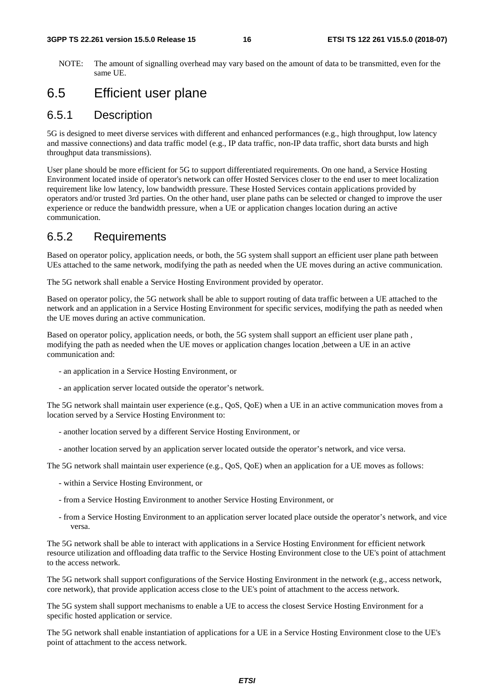NOTE: The amount of signalling overhead may vary based on the amount of data to be transmitted, even for the same UE.

## 6.5 Efficient user plane

### 6.5.1 Description

5G is designed to meet diverse services with different and enhanced performances (e.g., high throughput, low latency and massive connections) and data traffic model (e.g., IP data traffic, non-IP data traffic, short data bursts and high throughput data transmissions).

User plane should be more efficient for 5G to support differentiated requirements. On one hand, a Service Hosting Environment located inside of operator's network can offer Hosted Services closer to the end user to meet localization requirement like low latency, low bandwidth pressure. These Hosted Services contain applications provided by operators and/or trusted 3rd parties. On the other hand, user plane paths can be selected or changed to improve the user experience or reduce the bandwidth pressure, when a UE or application changes location during an active communication.

### 6.5.2 Requirements

Based on operator policy, application needs, or both, the 5G system shall support an efficient user plane path between UEs attached to the same network, modifying the path as needed when the UE moves during an active communication.

The 5G network shall enable a Service Hosting Environment provided by operator.

Based on operator policy, the 5G network shall be able to support routing of data traffic between a UE attached to the network and an application in a Service Hosting Environment for specific services, modifying the path as needed when the UE moves during an active communication.

Based on operator policy, application needs, or both, the 5G system shall support an efficient user plane path , modifying the path as needed when the UE moves or application changes location ,between a UE in an active communication and:

- an application in a Service Hosting Environment, or
- an application server located outside the operator's network.

The 5G network shall maintain user experience (e.g., QoS, QoE) when a UE in an active communication moves from a location served by a Service Hosting Environment to:

- another location served by a different Service Hosting Environment, or
- another location served by an application server located outside the operator's network, and vice versa.

The 5G network shall maintain user experience (e.g., QoS, QoE) when an application for a UE moves as follows:

- within a Service Hosting Environment, or
- from a Service Hosting Environment to another Service Hosting Environment, or
- from a Service Hosting Environment to an application server located place outside the operator's network, and vice versa.

The 5G network shall be able to interact with applications in a Service Hosting Environment for efficient network resource utilization and offloading data traffic to the Service Hosting Environment close to the UE's point of attachment to the access network.

The 5G network shall support configurations of the Service Hosting Environment in the network (e.g., access network, core network), that provide application access close to the UE's point of attachment to the access network.

The 5G system shall support mechanisms to enable a UE to access the closest Service Hosting Environment for a specific hosted application or service.

The 5G network shall enable instantiation of applications for a UE in a Service Hosting Environment close to the UE's point of attachment to the access network.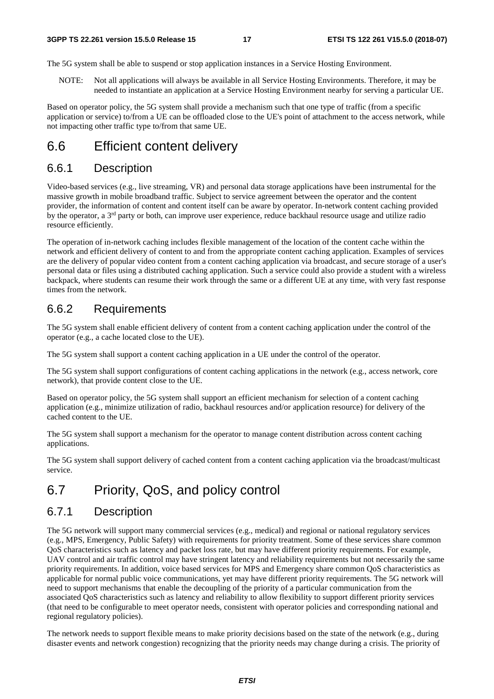The 5G system shall be able to suspend or stop application instances in a Service Hosting Environment.

NOTE: Not all applications will always be available in all Service Hosting Environments. Therefore, it may be needed to instantiate an application at a Service Hosting Environment nearby for serving a particular UE.

Based on operator policy, the 5G system shall provide a mechanism such that one type of traffic (from a specific application or service) to/from a UE can be offloaded close to the UE's point of attachment to the access network, while not impacting other traffic type to/from that same UE.

## 6.6 Efficient content delivery

#### 6.6.1 Description

Video-based services (e.g., live streaming, VR) and personal data storage applications have been instrumental for the massive growth in mobile broadband traffic. Subject to service agreement between the operator and the content provider, the information of content and content itself can be aware by operator. In-network content caching provided by the operator, a  $3<sup>rd</sup>$  party or both, can improve user experience, reduce backhaul resource usage and utilize radio resource efficiently.

The operation of in-network caching includes flexible management of the location of the content cache within the network and efficient delivery of content to and from the appropriate content caching application. Examples of services are the delivery of popular video content from a content caching application via broadcast, and secure storage of a user's personal data or files using a distributed caching application. Such a service could also provide a student with a wireless backpack, where students can resume their work through the same or a different UE at any time, with very fast response times from the network.

#### 6.6.2 Requirements

The 5G system shall enable efficient delivery of content from a content caching application under the control of the operator (e.g., a cache located close to the UE).

The 5G system shall support a content caching application in a UE under the control of the operator.

The 5G system shall support configurations of content caching applications in the network (e.g., access network, core network), that provide content close to the UE.

Based on operator policy, the 5G system shall support an efficient mechanism for selection of a content caching application (e.g., minimize utilization of radio, backhaul resources and/or application resource) for delivery of the cached content to the UE.

The 5G system shall support a mechanism for the operator to manage content distribution across content caching applications.

The 5G system shall support delivery of cached content from a content caching application via the broadcast/multicast service.

## 6.7 Priority, QoS, and policy control

### 6.7.1 Description

The 5G network will support many commercial services (e.g., medical) and regional or national regulatory services (e.g., MPS, Emergency, Public Safety) with requirements for priority treatment. Some of these services share common QoS characteristics such as latency and packet loss rate, but may have different priority requirements. For example, UAV control and air traffic control may have stringent latency and reliability requirements but not necessarily the same priority requirements. In addition, voice based services for MPS and Emergency share common QoS characteristics as applicable for normal public voice communications, yet may have different priority requirements. The 5G network will need to support mechanisms that enable the decoupling of the priority of a particular communication from the associated QoS characteristics such as latency and reliability to allow flexibility to support different priority services (that need to be configurable to meet operator needs, consistent with operator policies and corresponding national and regional regulatory policies).

The network needs to support flexible means to make priority decisions based on the state of the network (e.g., during disaster events and network congestion) recognizing that the priority needs may change during a crisis. The priority of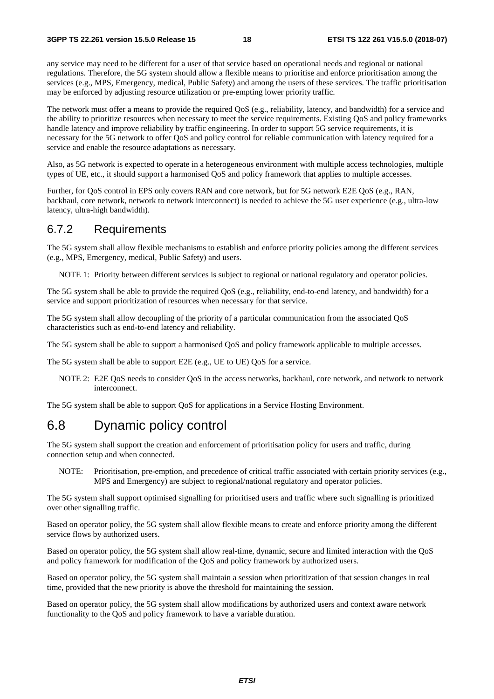any service may need to be different for a user of that service based on operational needs and regional or national regulations. Therefore, the 5G system should allow a flexible means to prioritise and enforce prioritisation among the services (e.g., MPS, Emergency, medical, Public Safety) and among the users of these services. The traffic prioritisation may be enforced by adjusting resource utilization or pre-empting lower priority traffic.

The network must offer a means to provide the required QoS (e.g., reliability, latency, and bandwidth) for a service and the ability to prioritize resources when necessary to meet the service requirements. Existing QoS and policy frameworks handle latency and improve reliability by traffic engineering. In order to support 5G service requirements, it is necessary for the 5G network to offer QoS and policy control for reliable communication with latency required for a service and enable the resource adaptations as necessary.

Also, as 5G network is expected to operate in a heterogeneous environment with multiple access technologies, multiple types of UE, etc., it should support a harmonised QoS and policy framework that applies to multiple accesses.

Further, for QoS control in EPS only covers RAN and core network, but for 5G network E2E QoS (e.g., RAN, backhaul, core network, network to network interconnect) is needed to achieve the 5G user experience (e.g., ultra-low latency, ultra-high bandwidth).

#### 6.7.2 Requirements

The 5G system shall allow flexible mechanisms to establish and enforce priority policies among the different services (e.g., MPS, Emergency, medical, Public Safety) and users.

NOTE 1: Priority between different services is subject to regional or national regulatory and operator policies.

The 5G system shall be able to provide the required QoS (e.g., reliability, end-to-end latency, and bandwidth) for a service and support prioritization of resources when necessary for that service.

The 5G system shall allow decoupling of the priority of a particular communication from the associated QoS characteristics such as end-to-end latency and reliability.

The 5G system shall be able to support a harmonised QoS and policy framework applicable to multiple accesses.

The 5G system shall be able to support E2E (e.g., UE to UE) QoS for a service.

NOTE 2: E2E QoS needs to consider QoS in the access networks, backhaul, core network, and network to network interconnect.

The 5G system shall be able to support QoS for applications in a Service Hosting Environment.

## 6.8 Dynamic policy control

The 5G system shall support the creation and enforcement of prioritisation policy for users and traffic, during connection setup and when connected.

NOTE: Prioritisation, pre-emption, and precedence of critical traffic associated with certain priority services (e.g., MPS and Emergency) are subject to regional/national regulatory and operator policies.

The 5G system shall support optimised signalling for prioritised users and traffic where such signalling is prioritized over other signalling traffic.

Based on operator policy, the 5G system shall allow flexible means to create and enforce priority among the different service flows by authorized users.

Based on operator policy, the 5G system shall allow real-time, dynamic, secure and limited interaction with the QoS and policy framework for modification of the QoS and policy framework by authorized users.

Based on operator policy, the 5G system shall maintain a session when prioritization of that session changes in real time, provided that the new priority is above the threshold for maintaining the session.

Based on operator policy, the 5G system shall allow modifications by authorized users and context aware network functionality to the QoS and policy framework to have a variable duration.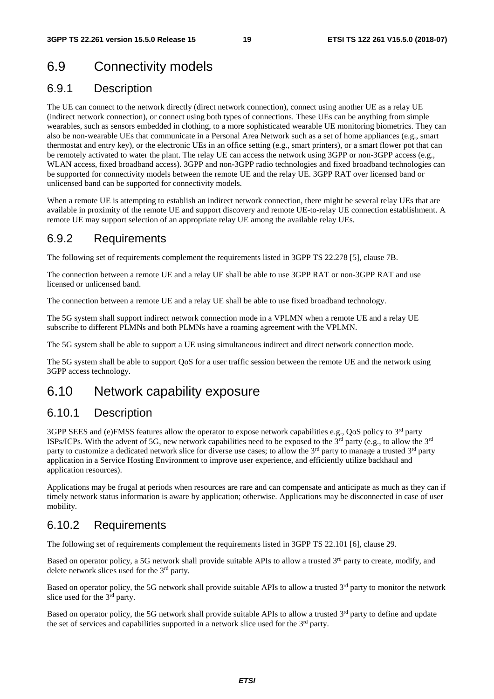## 6.9 Connectivity models

### 6.9.1 Description

The UE can connect to the network directly (direct network connection), connect using another UE as a relay UE (indirect network connection), or connect using both types of connections. These UEs can be anything from simple wearables, such as sensors embedded in clothing, to a more sophisticated wearable UE monitoring biometrics. They can also be non-wearable UEs that communicate in a Personal Area Network such as a set of home appliances (e.g., smart thermostat and entry key), or the electronic UEs in an office setting (e.g., smart printers), or a smart flower pot that can be remotely activated to water the plant. The relay UE can access the network using 3GPP or non-3GPP access (e.g., WLAN access, fixed broadband access). 3GPP and non-3GPP radio technologies and fixed broadband technologies can be supported for connectivity models between the remote UE and the relay UE. 3GPP RAT over licensed band or unlicensed band can be supported for connectivity models.

When a remote UE is attempting to establish an indirect network connection, there might be several relay UEs that are available in proximity of the remote UE and support discovery and remote UE-to-relay UE connection establishment. A remote UE may support selection of an appropriate relay UE among the available relay UEs.

### 6.9.2 Requirements

The following set of requirements complement the requirements listed in 3GPP TS 22.278 [5], clause 7B.

The connection between a remote UE and a relay UE shall be able to use 3GPP RAT or non-3GPP RAT and use licensed or unlicensed band.

The connection between a remote UE and a relay UE shall be able to use fixed broadband technology.

The 5G system shall support indirect network connection mode in a VPLMN when a remote UE and a relay UE subscribe to different PLMNs and both PLMNs have a roaming agreement with the VPLMN.

The 5G system shall be able to support a UE using simultaneous indirect and direct network connection mode.

The 5G system shall be able to support QoS for a user traffic session between the remote UE and the network using 3GPP access technology.

## 6.10 Network capability exposure

### 6.10.1 Description

3GPP SEES and (e)FMSS features allow the operator to expose network capabilities e.g., QoS policy to 3<sup>rd</sup> party ISPs/ICPs. With the advent of 5G, new network capabilities need to be exposed to the 3<sup>rd</sup> party (e.g., to allow the 3<sup>rd</sup> party to customize a dedicated network slice for diverse use cases; to allow the  $3<sup>rd</sup>$  party to manage a trusted  $3<sup>rd</sup>$  party application in a Service Hosting Environment to improve user experience, and efficiently utilize backhaul and application resources).

Applications may be frugal at periods when resources are rare and can compensate and anticipate as much as they can if timely network status information is aware by application; otherwise. Applications may be disconnected in case of user mobility.

### 6.10.2 Requirements

The following set of requirements complement the requirements listed in 3GPP TS 22.101 [6], clause 29.

Based on operator policy, a 5G network shall provide suitable APIs to allow a trusted 3<sup>rd</sup> party to create, modify, and delete network slices used for the 3rd party.

Based on operator policy, the 5G network shall provide suitable APIs to allow a trusted 3<sup>rd</sup> party to monitor the network slice used for the 3<sup>rd</sup> party.

Based on operator policy, the 5G network shall provide suitable APIs to allow a trusted 3<sup>rd</sup> party to define and update the set of services and capabilities supported in a network slice used for the  $3<sup>rd</sup>$  party.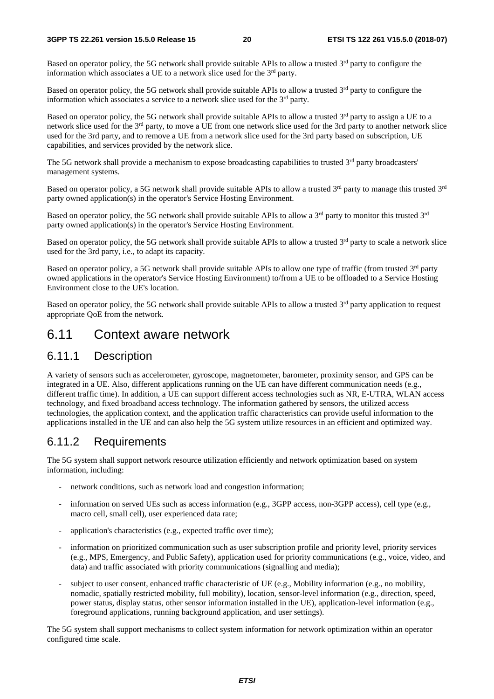Based on operator policy, the 5G network shall provide suitable APIs to allow a trusted  $3<sup>rd</sup>$  party to configure the information which associates a UE to a network slice used for the  $3<sup>rd</sup>$  party.

Based on operator policy, the 5G network shall provide suitable APIs to allow a trusted  $3<sup>rd</sup>$  party to configure the information which associates a service to a network slice used for the 3rd party.

Based on operator policy, the 5G network shall provide suitable APIs to allow a trusted  $3<sup>rd</sup>$  party to assign a UE to a network slice used for the 3rd party, to move a UE from one network slice used for the 3rd party to another network slice used for the 3rd party, and to remove a UE from a network slice used for the 3rd party based on subscription, UE capabilities, and services provided by the network slice.

The 5G network shall provide a mechanism to expose broadcasting capabilities to trusted 3<sup>rd</sup> party broadcasters' management systems.

Based on operator policy, a 5G network shall provide suitable APIs to allow a trusted 3<sup>rd</sup> party to manage this trusted 3<sup>rd</sup> party owned application(s) in the operator's Service Hosting Environment.

Based on operator policy, the 5G network shall provide suitable APIs to allow a 3<sup>rd</sup> party to monitor this trusted 3<sup>rd</sup> party owned application(s) in the operator's Service Hosting Environment.

Based on operator policy, the 5G network shall provide suitable APIs to allow a trusted  $3<sup>rd</sup>$  party to scale a network slice used for the 3rd party, i.e., to adapt its capacity.

Based on operator policy, a 5G network shall provide suitable APIs to allow one type of traffic (from trusted 3<sup>rd</sup> party owned applications in the operator's Service Hosting Environment) to/from a UE to be offloaded to a Service Hosting Environment close to the UE's location.

Based on operator policy, the 5G network shall provide suitable APIs to allow a trusted  $3<sup>rd</sup>$  party application to request appropriate QoE from the network.

## 6.11 Context aware network

### 6.11.1 Description

A variety of sensors such as accelerometer, gyroscope, magnetometer, barometer, proximity sensor, and GPS can be integrated in a UE. Also, different applications running on the UE can have different communication needs (e.g., different traffic time). In addition, a UE can support different access technologies such as NR, E-UTRA, WLAN access technology, and fixed broadband access technology. The information gathered by sensors, the utilized access technologies, the application context, and the application traffic characteristics can provide useful information to the applications installed in the UE and can also help the 5G system utilize resources in an efficient and optimized way.

### 6.11.2 Requirements

The 5G system shall support network resource utilization efficiently and network optimization based on system information, including:

- network conditions, such as network load and congestion information;
- information on served UEs such as access information (e.g., 3GPP access, non-3GPP access), cell type (e.g., macro cell, small cell), user experienced data rate;
- application's characteristics (e.g., expected traffic over time);
- information on prioritized communication such as user subscription profile and priority level, priority services (e.g., MPS, Emergency, and Public Safety), application used for priority communications (e.g., voice, video, and data) and traffic associated with priority communications (signalling and media);
- subject to user consent, enhanced traffic characteristic of UE (e.g., Mobility information (e.g., no mobility, nomadic, spatially restricted mobility, full mobility), location, sensor-level information (e.g., direction, speed, power status, display status, other sensor information installed in the UE), application-level information (e.g., foreground applications, running background application, and user settings).

The 5G system shall support mechanisms to collect system information for network optimization within an operator configured time scale.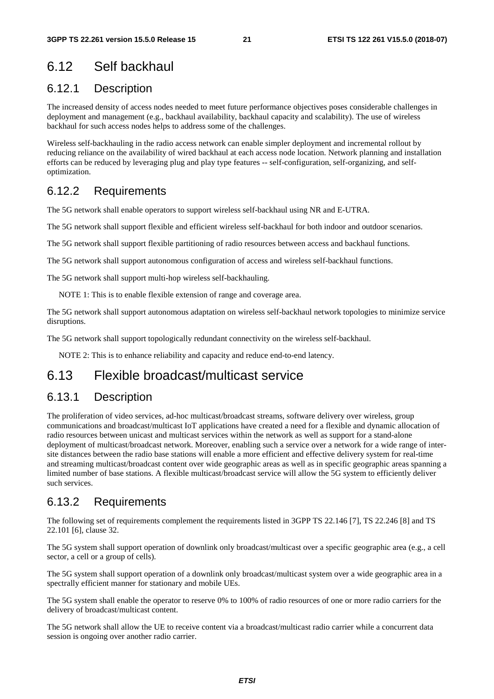## 6.12 Self backhaul

## 6.12.1 Description

The increased density of access nodes needed to meet future performance objectives poses considerable challenges in deployment and management (e.g., backhaul availability, backhaul capacity and scalability). The use of wireless backhaul for such access nodes helps to address some of the challenges.

Wireless self-backhauling in the radio access network can enable simpler deployment and incremental rollout by reducing reliance on the availability of wired backhaul at each access node location. Network planning and installation efforts can be reduced by leveraging plug and play type features -- self-configuration, self-organizing, and selfoptimization.

### 6.12.2 Requirements

The 5G network shall enable operators to support wireless self-backhaul using NR and E-UTRA.

The 5G network shall support flexible and efficient wireless self-backhaul for both indoor and outdoor scenarios.

The 5G network shall support flexible partitioning of radio resources between access and backhaul functions.

The 5G network shall support autonomous configuration of access and wireless self-backhaul functions.

The 5G network shall support multi-hop wireless self-backhauling.

NOTE 1: This is to enable flexible extension of range and coverage area.

The 5G network shall support autonomous adaptation on wireless self-backhaul network topologies to minimize service disruptions.

The 5G network shall support topologically redundant connectivity on the wireless self-backhaul.

NOTE 2: This is to enhance reliability and capacity and reduce end-to-end latency.

## 6.13 Flexible broadcast/multicast service

### 6.13.1 Description

The proliferation of video services, ad-hoc multicast/broadcast streams, software delivery over wireless, group communications and broadcast/multicast IoT applications have created a need for a flexible and dynamic allocation of radio resources between unicast and multicast services within the network as well as support for a stand-alone deployment of multicast/broadcast network. Moreover, enabling such a service over a network for a wide range of intersite distances between the radio base stations will enable a more efficient and effective delivery system for real-time and streaming multicast/broadcast content over wide geographic areas as well as in specific geographic areas spanning a limited number of base stations. A flexible multicast/broadcast service will allow the 5G system to efficiently deliver such services.

### 6.13.2 Requirements

The following set of requirements complement the requirements listed in 3GPP TS 22.146 [7], TS 22.246 [8] and TS 22.101 [6], clause 32.

The 5G system shall support operation of downlink only broadcast/multicast over a specific geographic area (e.g., a cell sector, a cell or a group of cells).

The 5G system shall support operation of a downlink only broadcast/multicast system over a wide geographic area in a spectrally efficient manner for stationary and mobile UEs.

The 5G system shall enable the operator to reserve 0% to 100% of radio resources of one or more radio carriers for the delivery of broadcast/multicast content.

The 5G network shall allow the UE to receive content via a broadcast/multicast radio carrier while a concurrent data session is ongoing over another radio carrier.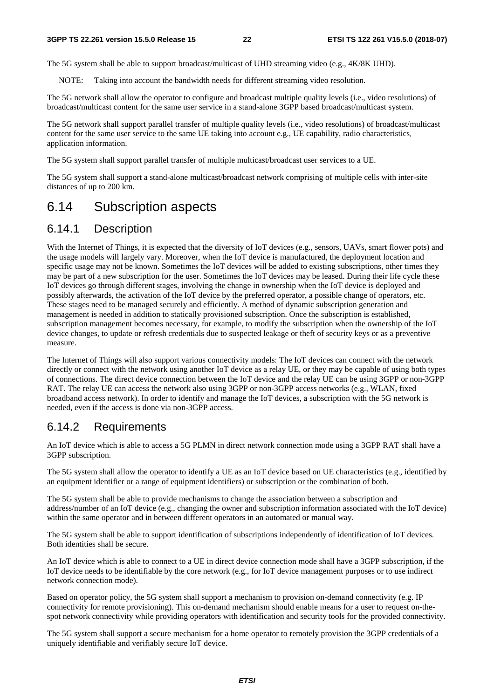The 5G system shall be able to support broadcast/multicast of UHD streaming video (e.g., 4K/8K UHD).

NOTE: Taking into account the bandwidth needs for different streaming video resolution.

The 5G network shall allow the operator to configure and broadcast multiple quality levels (i.e., video resolutions) of broadcast/multicast content for the same user service in a stand-alone 3GPP based broadcast/multicast system.

The 5G network shall support parallel transfer of multiple quality levels (i.e., video resolutions) of broadcast/multicast content for the same user service to the same UE taking into account e.g., UE capability, radio characteristics, application information.

The 5G system shall support parallel transfer of multiple multicast/broadcast user services to a UE.

The 5G system shall support a stand-alone multicast/broadcast network comprising of multiple cells with inter-site distances of up to 200 km.

## 6.14 Subscription aspects

### 6.14.1 Description

With the Internet of Things, it is expected that the diversity of IoT devices (e.g., sensors, UAVs, smart flower pots) and the usage models will largely vary. Moreover, when the IoT device is manufactured, the deployment location and specific usage may not be known. Sometimes the IoT devices will be added to existing subscriptions, other times they may be part of a new subscription for the user. Sometimes the IoT devices may be leased. During their life cycle these IoT devices go through different stages, involving the change in ownership when the IoT device is deployed and possibly afterwards, the activation of the IoT device by the preferred operator, a possible change of operators, etc. These stages need to be managed securely and efficiently. A method of dynamic subscription generation and management is needed in addition to statically provisioned subscription. Once the subscription is established, subscription management becomes necessary, for example, to modify the subscription when the ownership of the IoT device changes, to update or refresh credentials due to suspected leakage or theft of security keys or as a preventive measure.

The Internet of Things will also support various connectivity models: The IoT devices can connect with the network directly or connect with the network using another IoT device as a relay UE, or they may be capable of using both types of connections. The direct device connection between the IoT device and the relay UE can be using 3GPP or non-3GPP RAT. The relay UE can access the network also using 3GPP or non-3GPP access networks (e.g., WLAN, fixed broadband access network). In order to identify and manage the IoT devices, a subscription with the 5G network is needed, even if the access is done via non-3GPP access.

### 6.14.2 Requirements

An IoT device which is able to access a 5G PLMN in direct network connection mode using a 3GPP RAT shall have a 3GPP subscription.

The 5G system shall allow the operator to identify a UE as an IoT device based on UE characteristics (e.g., identified by an equipment identifier or a range of equipment identifiers) or subscription or the combination of both.

The 5G system shall be able to provide mechanisms to change the association between a subscription and address/number of an IoT device (e.g., changing the owner and subscription information associated with the IoT device) within the same operator and in between different operators in an automated or manual way.

The 5G system shall be able to support identification of subscriptions independently of identification of IoT devices. Both identities shall be secure.

An IoT device which is able to connect to a UE in direct device connection mode shall have a 3GPP subscription, if the IoT device needs to be identifiable by the core network (e.g., for IoT device management purposes or to use indirect network connection mode).

Based on operator policy, the 5G system shall support a mechanism to provision on-demand connectivity (e.g. IP connectivity for remote provisioning). This on-demand mechanism should enable means for a user to request on-thespot network connectivity while providing operators with identification and security tools for the provided connectivity.

The 5G system shall support a secure mechanism for a home operator to remotely provision the 3GPP credentials of a uniquely identifiable and verifiably secure IoT device.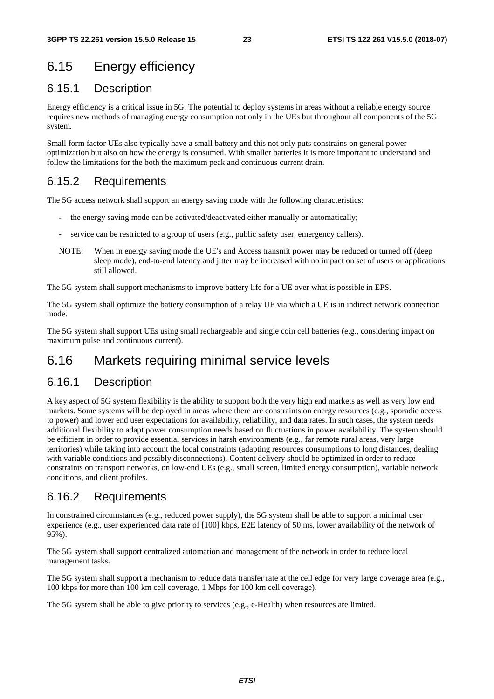## 6.15 Energy efficiency

### 6.15.1 Description

Energy efficiency is a critical issue in 5G. The potential to deploy systems in areas without a reliable energy source requires new methods of managing energy consumption not only in the UEs but throughout all components of the 5G system.

Small form factor UEs also typically have a small battery and this not only puts constrains on general power optimization but also on how the energy is consumed. With smaller batteries it is more important to understand and follow the limitations for the both the maximum peak and continuous current drain.

## 6.15.2 Requirements

The 5G access network shall support an energy saving mode with the following characteristics:

- the energy saving mode can be activated/deactivated either manually or automatically;
- service can be restricted to a group of users (e.g., public safety user, emergency callers).
- NOTE: When in energy saving mode the UE's and Access transmit power may be reduced or turned off (deep sleep mode), end-to-end latency and jitter may be increased with no impact on set of users or applications still allowed.

The 5G system shall support mechanisms to improve battery life for a UE over what is possible in EPS.

The 5G system shall optimize the battery consumption of a relay UE via which a UE is in indirect network connection mode.

The 5G system shall support UEs using small rechargeable and single coin cell batteries (e.g., considering impact on maximum pulse and continuous current).

## 6.16 Markets requiring minimal service levels

### 6.16.1 Description

A key aspect of 5G system flexibility is the ability to support both the very high end markets as well as very low end markets. Some systems will be deployed in areas where there are constraints on energy resources (e.g., sporadic access to power) and lower end user expectations for availability, reliability, and data rates. In such cases, the system needs additional flexibility to adapt power consumption needs based on fluctuations in power availability. The system should be efficient in order to provide essential services in harsh environments (e.g., far remote rural areas, very large territories) while taking into account the local constraints (adapting resources consumptions to long distances, dealing with variable conditions and possibly disconnections). Content delivery should be optimized in order to reduce constraints on transport networks, on low-end UEs (e.g., small screen, limited energy consumption), variable network conditions, and client profiles.

### 6.16.2 Requirements

In constrained circumstances (e.g., reduced power supply), the 5G system shall be able to support a minimal user experience (e.g., user experienced data rate of [100] kbps, E2E latency of 50 ms, lower availability of the network of 95%).

The 5G system shall support centralized automation and management of the network in order to reduce local management tasks.

The 5G system shall support a mechanism to reduce data transfer rate at the cell edge for very large coverage area (e.g., 100 kbps for more than 100 km cell coverage, 1 Mbps for 100 km cell coverage).

The 5G system shall be able to give priority to services (e.g., e-Health) when resources are limited.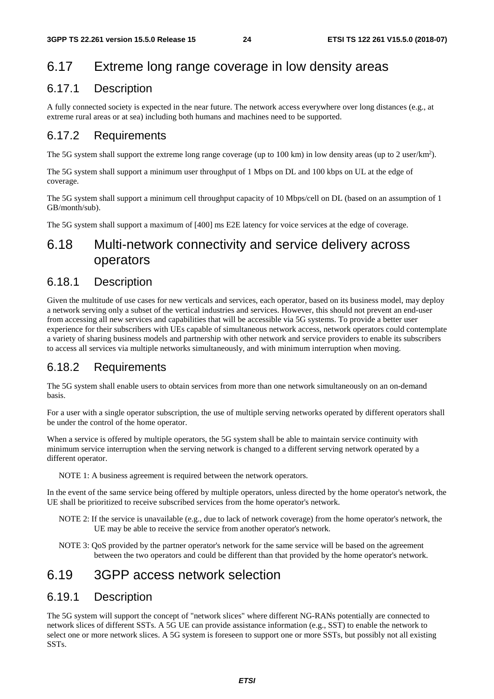## 6.17 Extreme long range coverage in low density areas

### 6.17.1 Description

A fully connected society is expected in the near future. The network access everywhere over long distances (e.g., at extreme rural areas or at sea) including both humans and machines need to be supported.

## 6.17.2 Requirements

The 5G system shall support the extreme long range coverage (up to 100 km) in low density areas (up to 2 user/km<sup>2</sup>).

The 5G system shall support a minimum user throughput of 1 Mbps on DL and 100 kbps on UL at the edge of coverage.

The 5G system shall support a minimum cell throughput capacity of 10 Mbps/cell on DL (based on an assumption of 1 GB/month/sub).

The 5G system shall support a maximum of [400] ms E2E latency for voice services at the edge of coverage.

## 6.18 Multi-network connectivity and service delivery across operators

### 6.18.1 Description

Given the multitude of use cases for new verticals and services, each operator, based on its business model, may deploy a network serving only a subset of the vertical industries and services. However, this should not prevent an end-user from accessing all new services and capabilities that will be accessible via 5G systems. To provide a better user experience for their subscribers with UEs capable of simultaneous network access, network operators could contemplate a variety of sharing business models and partnership with other network and service providers to enable its subscribers to access all services via multiple networks simultaneously, and with minimum interruption when moving.

## 6.18.2 Requirements

The 5G system shall enable users to obtain services from more than one network simultaneously on an on-demand basis.

For a user with a single operator subscription, the use of multiple serving networks operated by different operators shall be under the control of the home operator.

When a service is offered by multiple operators, the 5G system shall be able to maintain service continuity with minimum service interruption when the serving network is changed to a different serving network operated by a different operator.

NOTE 1: A business agreement is required between the network operators.

In the event of the same service being offered by multiple operators, unless directed by the home operator's network, the UE shall be prioritized to receive subscribed services from the home operator's network.

- NOTE 2: If the service is unavailable (e.g., due to lack of network coverage) from the home operator's network, the UE may be able to receive the service from another operator's network.
- NOTE 3: QoS provided by the partner operator's network for the same service will be based on the agreement between the two operators and could be different than that provided by the home operator's network.

## 6.19 3GPP access network selection

### 6.19.1 Description

The 5G system will support the concept of "network slices" where different NG-RANs potentially are connected to network slices of different SSTs. A 5G UE can provide assistance information (e.g., SST) to enable the network to select one or more network slices. A 5G system is foreseen to support one or more SSTs, but possibly not all existing SSTs.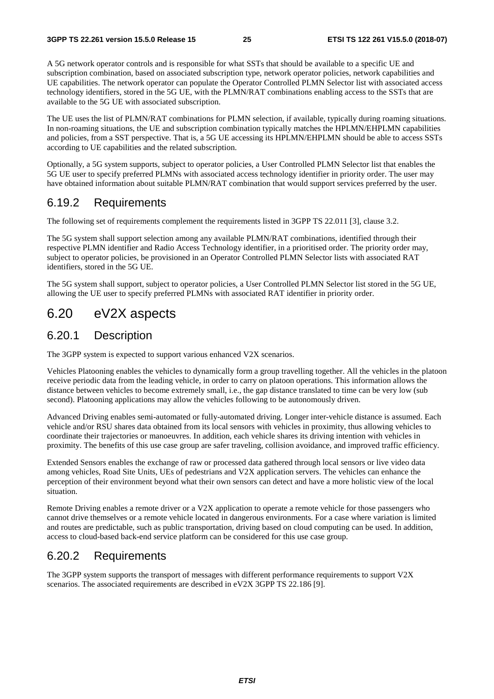A 5G network operator controls and is responsible for what SSTs that should be available to a specific UE and subscription combination, based on associated subscription type, network operator policies, network capabilities and UE capabilities. The network operator can populate the Operator Controlled PLMN Selector list with associated access technology identifiers, stored in the 5G UE, with the PLMN/RAT combinations enabling access to the SSTs that are available to the 5G UE with associated subscription.

The UE uses the list of PLMN/RAT combinations for PLMN selection, if available, typically during roaming situations. In non-roaming situations, the UE and subscription combination typically matches the HPLMN/EHPLMN capabilities and policies, from a SST perspective. That is, a 5G UE accessing its HPLMN/EHPLMN should be able to access SSTs according to UE capabilities and the related subscription.

Optionally, a 5G system supports, subject to operator policies, a User Controlled PLMN Selector list that enables the 5G UE user to specify preferred PLMNs with associated access technology identifier in priority order. The user may have obtained information about suitable PLMN/RAT combination that would support services preferred by the user.

### 6.19.2 Requirements

The following set of requirements complement the requirements listed in 3GPP TS 22.011 [3], clause 3.2.

The 5G system shall support selection among any available PLMN/RAT combinations, identified through their respective PLMN identifier and Radio Access Technology identifier, in a prioritised order. The priority order may, subject to operator policies, be provisioned in an Operator Controlled PLMN Selector lists with associated RAT identifiers, stored in the 5G UE.

The 5G system shall support, subject to operator policies, a User Controlled PLMN Selector list stored in the 5G UE, allowing the UE user to specify preferred PLMNs with associated RAT identifier in priority order.

## 6.20 eV2X aspects

### 6.20.1 Description

The 3GPP system is expected to support various enhanced V2X scenarios.

Vehicles Platooning enables the vehicles to dynamically form a group travelling together. All the vehicles in the platoon receive periodic data from the leading vehicle, in order to carry on platoon operations. This information allows the distance between vehicles to become extremely small, i.e., the gap distance translated to time can be very low (sub second). Platooning applications may allow the vehicles following to be autonomously driven.

Advanced Driving enables semi-automated or fully-automated driving. Longer inter-vehicle distance is assumed. Each vehicle and/or RSU shares data obtained from its local sensors with vehicles in proximity, thus allowing vehicles to coordinate their trajectories or manoeuvres. In addition, each vehicle shares its driving intention with vehicles in proximity. The benefits of this use case group are safer traveling, collision avoidance, and improved traffic efficiency.

Extended Sensors enables the exchange of raw or processed data gathered through local sensors or live video data among vehicles, Road Site Units, UEs of pedestrians and V2X application servers. The vehicles can enhance the perception of their environment beyond what their own sensors can detect and have a more holistic view of the local situation.

Remote Driving enables a remote driver or a V2X application to operate a remote vehicle for those passengers who cannot drive themselves or a remote vehicle located in dangerous environments. For a case where variation is limited and routes are predictable, such as public transportation, driving based on cloud computing can be used. In addition, access to cloud-based back-end service platform can be considered for this use case group.

### 6.20.2 Requirements

The 3GPP system supports the transport of messages with different performance requirements to support V2X scenarios. The associated requirements are described in eV2X 3GPP TS 22.186 [9].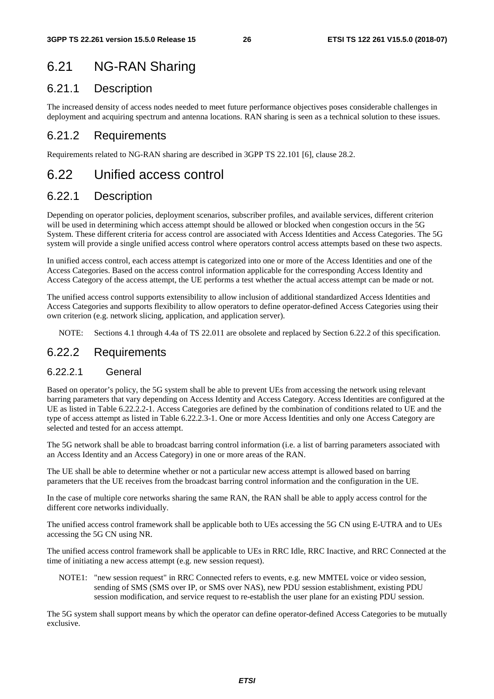## 6.21 NG-RAN Sharing

### 6.21.1 Description

The increased density of access nodes needed to meet future performance objectives poses considerable challenges in deployment and acquiring spectrum and antenna locations. RAN sharing is seen as a technical solution to these issues.

## 6.21.2 Requirements

Requirements related to NG-RAN sharing are described in 3GPP TS 22.101 [6], clause 28.2.

## 6.22 Unified access control

## 6.22.1 Description

Depending on operator policies, deployment scenarios, subscriber profiles, and available services, different criterion will be used in determining which access attempt should be allowed or blocked when congestion occurs in the 5G System. These different criteria for access control are associated with Access Identities and Access Categories. The 5G system will provide a single unified access control where operators control access attempts based on these two aspects.

In unified access control, each access attempt is categorized into one or more of the Access Identities and one of the Access Categories. Based on the access control information applicable for the corresponding Access Identity and Access Category of the access attempt, the UE performs a test whether the actual access attempt can be made or not.

The unified access control supports extensibility to allow inclusion of additional standardized Access Identities and Access Categories and supports flexibility to allow operators to define operator-defined Access Categories using their own criterion (e.g. network slicing, application, and application server).

NOTE: Sections 4.1 through 4.4a of TS 22.011 are obsolete and replaced by Section 6.22.2 of this specification.

### 6.22.2 Requirements

#### 6.22.2.1 General

Based on operator's policy, the 5G system shall be able to prevent UEs from accessing the network using relevant barring parameters that vary depending on Access Identity and Access Category. Access Identities are configured at the UE as listed in Table 6.22.2.2-1. Access Categories are defined by the combination of conditions related to UE and the type of access attempt as listed in Table 6.22.2.3-1. One or more Access Identities and only one Access Category are selected and tested for an access attempt.

The 5G network shall be able to broadcast barring control information (i.e. a list of barring parameters associated with an Access Identity and an Access Category) in one or more areas of the RAN.

The UE shall be able to determine whether or not a particular new access attempt is allowed based on barring parameters that the UE receives from the broadcast barring control information and the configuration in the UE.

In the case of multiple core networks sharing the same RAN, the RAN shall be able to apply access control for the different core networks individually.

The unified access control framework shall be applicable both to UEs accessing the 5G CN using E-UTRA and to UEs accessing the 5G CN using NR.

The unified access control framework shall be applicable to UEs in RRC Idle, RRC Inactive, and RRC Connected at the time of initiating a new access attempt (e.g. new session request).

NOTE1: "new session request" in RRC Connected refers to events, e.g. new MMTEL voice or video session, sending of SMS (SMS over IP, or SMS over NAS), new PDU session establishment, existing PDU session modification, and service request to re-establish the user plane for an existing PDU session.

The 5G system shall support means by which the operator can define operator-defined Access Categories to be mutually exclusive.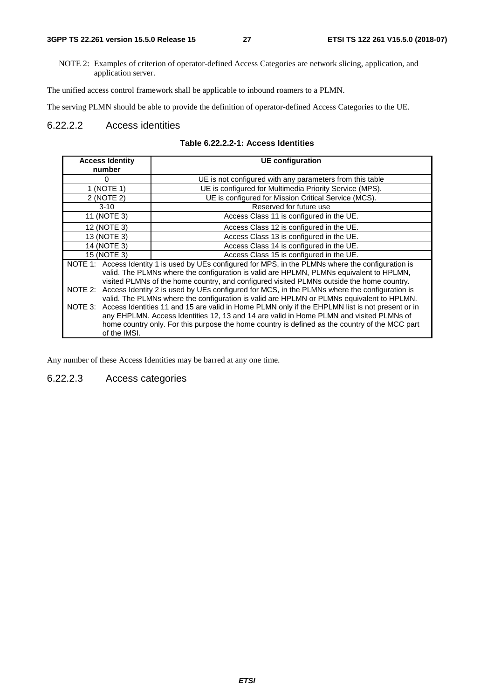NOTE 2: Examples of criterion of operator-defined Access Categories are network slicing, application, and application server.

The unified access control framework shall be applicable to inbound roamers to a PLMN.

The serving PLMN should be able to provide the definition of operator-defined Access Categories to the UE.

#### 6.22.2.2 Access identities

| <b>Access Identity</b><br>number | <b>UE</b> configuration                                                                                 |
|----------------------------------|---------------------------------------------------------------------------------------------------------|
|                                  |                                                                                                         |
| 0                                | UE is not configured with any parameters from this table                                                |
| 1 (NOTE 1)                       | UE is configured for Multimedia Priority Service (MPS).                                                 |
| 2 (NOTE 2)                       | UE is configured for Mission Critical Service (MCS).                                                    |
| $3 - 10$                         | Reserved for future use                                                                                 |
| 11 (NOTE 3)                      | Access Class 11 is configured in the UE.                                                                |
| 12 (NOTE 3)                      | Access Class 12 is configured in the UE.                                                                |
| 13 (NOTE 3)                      | Access Class 13 is configured in the UE.                                                                |
| 14 (NOTE 3)                      | Access Class 14 is configured in the UE.                                                                |
| 15 (NOTE 3)                      | Access Class 15 is configured in the UE.                                                                |
|                                  | NOTE 1: Access Identity 1 is used by UEs configured for MPS, in the PLMNs where the configuration is    |
|                                  | valid. The PLMNs where the configuration is valid are HPLMN, PLMNs equivalent to HPLMN,                 |
|                                  | visited PLMNs of the home country, and configured visited PLMNs outside the home country.               |
|                                  | NOTE 2: Access Identity 2 is used by UEs configured for MCS, in the PLMNs where the configuration is    |
|                                  | valid. The PLMNs where the configuration is valid are HPLMN or PLMNs equivalent to HPLMN.               |
|                                  | NOTE 3: Access Identities 11 and 15 are valid in Home PLMN only if the EHPLMN list is not present or in |
|                                  | any EHPLMN. Access Identities 12, 13 and 14 are valid in Home PLMN and visited PLMNs of                 |
|                                  | home country only. For this purpose the home country is defined as the country of the MCC part          |
| of the IMSI.                     |                                                                                                         |

#### **Table 6.22.2.2-1: Access Identities**

Any number of these Access Identities may be barred at any one time.

6.22.2.3 Access categories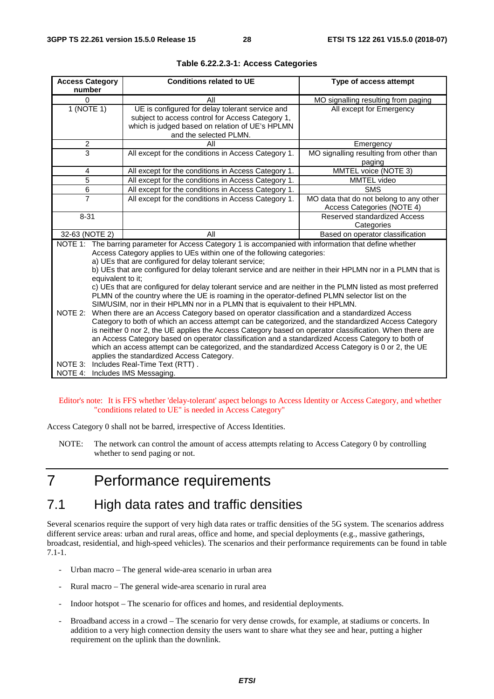| <b>Access Category</b><br>number | <b>Conditions related to UE</b>                                                                            | Type of access attempt                  |
|----------------------------------|------------------------------------------------------------------------------------------------------------|-----------------------------------------|
| $\Omega$                         | All                                                                                                        |                                         |
|                                  |                                                                                                            | MO signalling resulting from paging     |
| 1 (NOTE 1)                       | UE is configured for delay tolerant service and                                                            | All except for Emergency                |
|                                  | subject to access control for Access Category 1,<br>which is judged based on relation of UE's HPLMN        |                                         |
|                                  | and the selected PLMN.                                                                                     |                                         |
| $\overline{c}$                   | All                                                                                                        | Emergency                               |
| $\overline{3}$                   | All except for the conditions in Access Category 1.                                                        | MO signalling resulting from other than |
|                                  |                                                                                                            | paging                                  |
| 4                                | All except for the conditions in Access Category 1.                                                        | MMTEL voice (NOTE 3)                    |
| 5                                | All except for the conditions in Access Category 1.                                                        | MMTEL video                             |
| 6                                | All except for the conditions in Access Category 1.                                                        | <b>SMS</b>                              |
| $\overline{7}$                   | All except for the conditions in Access Category 1.                                                        | MO data that do not belong to any other |
|                                  |                                                                                                            | Access Categories (NOTE 4)              |
| $8 - 31$                         |                                                                                                            | <b>Reserved standardized Access</b>     |
|                                  |                                                                                                            | Categories                              |
| 32-63 (NOTE 2)                   | All                                                                                                        | Based on operator classification        |
|                                  | NOTE 1: The barring parameter for Access Category 1 is accompanied with information that define whether    |                                         |
|                                  | Access Category applies to UEs within one of the following categories:                                     |                                         |
|                                  | a) UEs that are configured for delay tolerant service;                                                     |                                         |
|                                  | b) UEs that are configured for delay tolerant service and are neither in their HPLMN nor in a PLMN that is |                                         |
| equivalent to it;                |                                                                                                            |                                         |
|                                  | c) UEs that are configured for delay tolerant service and are neither in the PLMN listed as most preferred |                                         |
|                                  | PLMN of the country where the UE is roaming in the operator-defined PLMN selector list on the              |                                         |
|                                  | SIM/USIM, nor in their HPLMN nor in a PLMN that is equivalent to their HPLMN.                              |                                         |
| NOTE 2:                          | When there are an Access Category based on operator classification and a standardized Access               |                                         |
|                                  | Category to both of which an access attempt can be categorized, and the standardized Access Category       |                                         |
|                                  | is neither 0 nor 2, the UE applies the Access Category based on operator classification. When there are    |                                         |
|                                  | an Access Category based on operator classification and a standardized Access Category to both of          |                                         |
|                                  | which an access attempt can be categorized, and the standardized Access Category is 0 or 2, the UE         |                                         |
| NOTE 3:                          | applies the standardized Access Category.                                                                  |                                         |
|                                  | Includes Real-Time Text (RTT).                                                                             |                                         |

|  |  |  | Table 6.22.2.3-1: Access Categories |
|--|--|--|-------------------------------------|
|--|--|--|-------------------------------------|

Editor's note: It is FFS whether 'delay-tolerant' aspect belongs to Access Identity or Access Category, and whether "conditions related to UE" is needed in Access Category"

Access Category 0 shall not be barred, irrespective of Access Identities.

NOTE: The network can control the amount of access attempts relating to Access Category 0 by controlling whether to send paging or not.

## 7 Performance requirements

## 7.1 High data rates and traffic densities

Several scenarios require the support of very high data rates or traffic densities of the 5G system. The scenarios address different service areas: urban and rural areas, office and home, and special deployments (e.g., massive gatherings, broadcast, residential, and high-speed vehicles). The scenarios and their performance requirements can be found in table 7.1-1.

- Urban macro The general wide-area scenario in urban area
- Rural macro The general wide-area scenario in rural area
- Indoor hotspot The scenario for offices and homes, and residential deployments.
- Broadband access in a crowd The scenario for very dense crowds, for example, at stadiums or concerts. In addition to a very high connection density the users want to share what they see and hear, putting a higher requirement on the uplink than the downlink.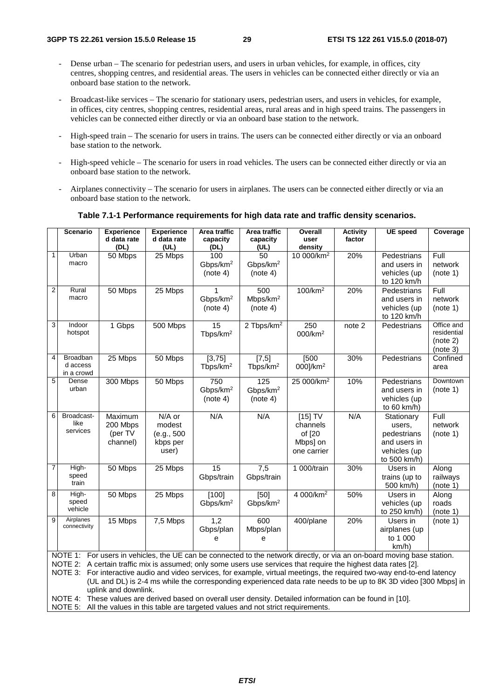- Dense urban The scenario for pedestrian users, and users in urban vehicles, for example, in offices, city centres, shopping centres, and residential areas. The users in vehicles can be connected either directly or via an onboard base station to the network.
- Broadcast-like services The scenario for stationary users, pedestrian users, and users in vehicles, for example, in offices, city centres, shopping centres, residential areas, rural areas and in high speed trains. The passengers in vehicles can be connected either directly or via an onboard base station to the network.
- High-speed train The scenario for users in trains. The users can be connected either directly or via an onboard base station to the network.
- High-speed vehicle The scenario for users in road vehicles. The users can be connected either directly or via an onboard base station to the network.
- Airplanes connectivity The scenario for users in airplanes. The users can be connected either directly or via an onboard base station to the network.

#### **Scenario Experience d data rate (DL) Experience d data rate (UL) Area traffic capacity (DL) Area traffic capacity (UL) Overall user**  density<br>10 000/km<sup>2</sup> **Activity factor UE speed Coverage** 1 Urban macro 25 Mbps 100 Gbps/km2 (note 4) 50 Gbps/km2 (note 4) 20% Pedestrians and users in vehicles (up to 120 km/h Full network (note 1) 2 Rural Rural 50 Mbps 25 Mbps 1<br>macro 6bps/ Gbps/km2 (note 4) 500 Mbps/km2 (note 4) 100/km2 20% Pedestrians and users in vehicles (up to 120 km/h Full network (note 1) 3 Indoor hotspot 1 Gbps 500 Mbps 15 Tbps/km2  $2$  Tbps/km<sup>2</sup> 250 000/km2 note 2 Pedestrians Office and residential (note 2) (note 3) 4 Broadban d access in a crowd 25 Mbps | 50 Mbps | [3,75] Tbps/km2  $[7,5]$ Tbps/km2 [500 000]/km2 30% Pedestrians Confined area 5 Dense urban 300 Mbps 50 Mbps 750 Gbps/km2 (note 4) 125 Gbps/km2 (note 4) 25 000/km<sup>2</sup> 10% Pedestrians and users in vehicles (up to 60 km/h) **Downtown** (note 1) 6 Broadcastlike services Maximum 200 Mbps (per TV channel) N/A or modest (e.g., 500 kbps per user)  $N/A$   $N/A$   $[15] TV$ channels of [20 Mbps] on one carrier N/A Stationary users, pedestrians and users in vehicles (up to 500 km/h) Full network (note 1) 7 Highspeed train 50 Mbps 25 Mbps 15 Gbps/train 7,5 Gbps/train 1 000/train 30% Users in trains (up to 500 km/h) Along railways  $(note 1)$ 8 Highspeed vehicle 50 Mbps 25 Mbps [100] Gbps/km2 [50] Gbps/km2 4 000/km2 50% Users in vehicles (up to 250 km/h) Along roads (note 1) 9 Airplanes 15 Mbps 7,5 Mbps 1,2 Gbps/plan e 600 Mbps/plan e 400/plane 20% Users in airplanes (up to 1 000 km/h) (note 1) NOTE 1: For users in vehicles, the UE can be connected to the network directly, or via an on-board moving base station. NOTE 2: A certain traffic mix is assumed; only some users use services that require the highest data rates [2]. NOTE 3: For interactive audio and video services, for example, virtual meetings, the required two-way end-to-end latency (UL and DL) is 2-4 ms while the corresponding experienced data rate needs to be up to 8K 3D video [300 Mbps] in

#### **Table 7.1-1 Performance requirements for high data rate and traffic density scenarios.**

NOTE 4: These values are derived based on overall user density. Detailed information can be found in [10].

NOTE 5: All the values in this table are targeted values and not strict requirements.

uplink and downlink.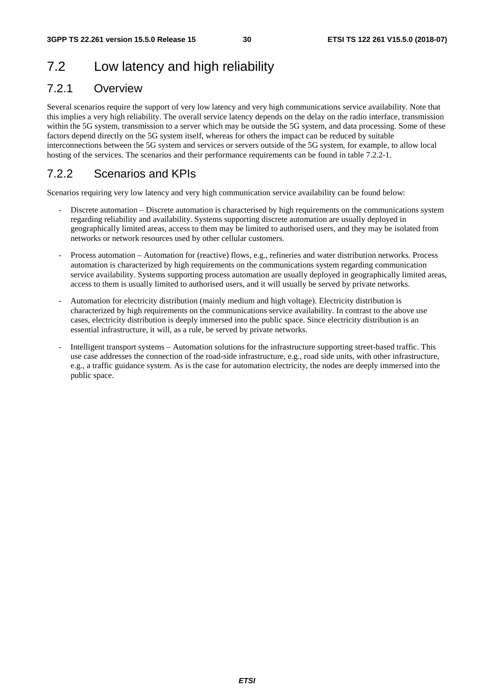## 7.2 Low latency and high reliability

## 7.2.1 Overview

Several scenarios require the support of very low latency and very high communications service availability. Note that this implies a very high reliability. The overall service latency depends on the delay on the radio interface, transmission within the 5G system, transmission to a server which may be outside the 5G system, and data processing. Some of these factors depend directly on the 5G system itself, whereas for others the impact can be reduced by suitable interconnections between the 5G system and services or servers outside of the 5G system, for example, to allow local hosting of the services. The scenarios and their performance requirements can be found in table 7.2.2-1.

## 7.2.2 Scenarios and KPIs

Scenarios requiring very low latency and very high communication service availability can be found below:

- Discrete automation Discrete automation is characterised by high requirements on the communications system regarding reliability and availability. Systems supporting discrete automation are usually deployed in geographically limited areas, access to them may be limited to authorised users, and they may be isolated from networks or network resources used by other cellular customers.
- Process automation Automation for (reactive) flows, e.g., refineries and water distribution networks. Process automation is characterized by high requirements on the communications system regarding communication service availability. Systems supporting process automation are usually deployed in geographically limited areas, access to them is usually limited to authorised users, and it will usually be served by private networks.
- Automation for electricity distribution (mainly medium and high voltage). Electricity distribution is characterized by high requirements on the communications service availability. In contrast to the above use cases, electricity distribution is deeply immersed into the public space. Since electricity distribution is an essential infrastructure, it will, as a rule, be served by private networks.
- Intelligent transport systems Automation solutions for the infrastructure supporting street-based traffic. This use case addresses the connection of the road-side infrastructure, e.g., road side units, with other infrastructure, e.g., a traffic guidance system. As is the case for automation electricity, the nodes are deeply immersed into the public space.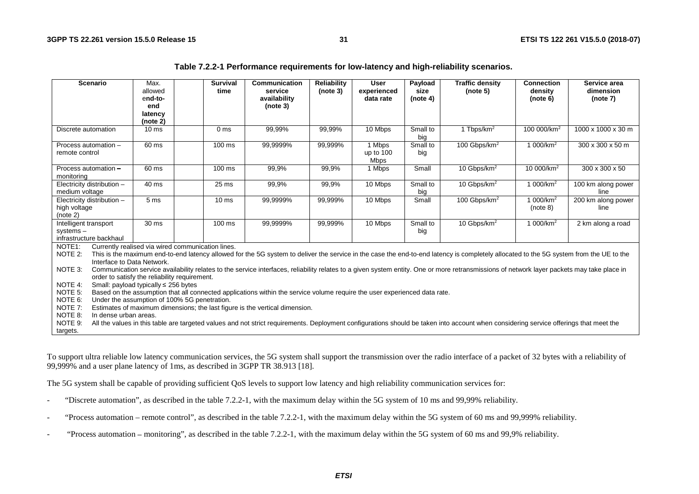| Table 7.2.2-1 Performance requirements for low-latency and high-reliability scenarios. |  |  |  |
|----------------------------------------------------------------------------------------|--|--|--|
|----------------------------------------------------------------------------------------|--|--|--|

| <b>Scenario</b>                                                                                                                                                                                                                                                                                                                                                                                                                                                                                                                                                                                                                                                                                                                                                                                                                  | Max.<br>allowed<br>end-to-<br>end<br>latency                                                                                                                                                                                                                                                             | <b>Survival</b><br>time | Communication<br>service<br>availability<br>(note 3) | <b>Reliability</b><br>(note 3) | <b>User</b><br>experienced<br>data rate | Payload<br>size<br>(note 4) | <b>Traffic density</b><br>(note 5) | <b>Connection</b><br>density<br>(note 6) | Service area<br>dimension<br>(note 7) |
|----------------------------------------------------------------------------------------------------------------------------------------------------------------------------------------------------------------------------------------------------------------------------------------------------------------------------------------------------------------------------------------------------------------------------------------------------------------------------------------------------------------------------------------------------------------------------------------------------------------------------------------------------------------------------------------------------------------------------------------------------------------------------------------------------------------------------------|----------------------------------------------------------------------------------------------------------------------------------------------------------------------------------------------------------------------------------------------------------------------------------------------------------|-------------------------|------------------------------------------------------|--------------------------------|-----------------------------------------|-----------------------------|------------------------------------|------------------------------------------|---------------------------------------|
|                                                                                                                                                                                                                                                                                                                                                                                                                                                                                                                                                                                                                                                                                                                                                                                                                                  | (note 2)                                                                                                                                                                                                                                                                                                 |                         |                                                      |                                |                                         |                             |                                    |                                          |                                       |
| Discrete automation                                                                                                                                                                                                                                                                                                                                                                                                                                                                                                                                                                                                                                                                                                                                                                                                              | 10 <sub>ms</sub>                                                                                                                                                                                                                                                                                         | 0 <sub>ms</sub>         | 99,99%                                               | 99,99%                         | 10 Mbps                                 | Small to<br>big             | 1 Tbps/km <sup>2</sup>             | 100 000/km <sup>2</sup>                  | 1000 x 1000 x 30 m                    |
| Process automation -<br>remote control                                                                                                                                                                                                                                                                                                                                                                                                                                                                                                                                                                                                                                                                                                                                                                                           | 60 ms                                                                                                                                                                                                                                                                                                    | $100 \text{ ms}$        | 99,9999%                                             | 99,999%                        | 1 Mbps<br>up to $100$<br><b>Mbps</b>    | Small to<br>big             | 100 Gbps/km <sup>2</sup>           | 1 000/km <sup>2</sup>                    | 300 x 300 x 50 m                      |
| Process automation -<br>monitoring                                                                                                                                                                                                                                                                                                                                                                                                                                                                                                                                                                                                                                                                                                                                                                                               | 60 ms                                                                                                                                                                                                                                                                                                    | $100 \text{ ms}$        | 99,9%                                                | 99,9%                          | 1 Mbps                                  | Small                       | 10 Gbps/km <sup>2</sup>            | 10 000/km <sup>2</sup>                   | 300 x 300 x 50                        |
| Electricity distribution -<br>medium voltage                                                                                                                                                                                                                                                                                                                                                                                                                                                                                                                                                                                                                                                                                                                                                                                     | 40 ms                                                                                                                                                                                                                                                                                                    | 25 ms                   | 99,9%                                                | 99,9%                          | 10 Mbps                                 | Small to<br>big             | 10 Gbps/km <sup>2</sup>            | 1 000/km <sup>2</sup>                    | 100 km along power<br>line            |
| Electricity distribution -<br>high voltage<br>(note 2)                                                                                                                                                                                                                                                                                                                                                                                                                                                                                                                                                                                                                                                                                                                                                                           | 5 <sub>ms</sub>                                                                                                                                                                                                                                                                                          | 10 <sub>ms</sub>        | 99,9999%                                             | 99,999%                        | 10 Mbps                                 | Small                       | 100 Gbps/km <sup>2</sup>           | 1 000/km <sup>2</sup><br>(note 8)        | 200 km along power<br>line            |
| Intelligent transport<br>$s$ ystems $-$<br>infrastructure backhaul                                                                                                                                                                                                                                                                                                                                                                                                                                                                                                                                                                                                                                                                                                                                                               | 30 ms                                                                                                                                                                                                                                                                                                    | $100 \text{ ms}$        | 99,9999%                                             | 99,999%                        | 10 Mbps                                 | Small to<br>big             | 10 Gbps/km <sup>2</sup>            | 1 000/km <sup>2</sup>                    | 2 km along a road                     |
| Currently realised via wired communication lines.<br>NOTE <sub>1</sub> :<br>NOTE 2:<br>This is the maximum end-to-end latency allowed for the 5G system to deliver the service in the case the end-to-end latency is completely allocated to the 5G system from the UE to the<br>Interface to Data Network.<br>NOTE 3:<br>Communication service availability relates to the service interfaces, reliability relates to a given system entity. One or more retransmissions of network layer packets may take place in<br>order to satisfy the reliability requirement.<br>NOTE 4:<br>Small: payload typically $\leq$ 256 bytes<br>NOTE 5:<br>Based on the assumption that all connected applications within the service volume require the user experienced data rate.<br>NOTE 6:<br>Under the assumption of 100% 5G penetration. |                                                                                                                                                                                                                                                                                                          |                         |                                                      |                                |                                         |                             |                                    |                                          |                                       |
| NOTE 8:<br>NOTE 9:<br>targets.                                                                                                                                                                                                                                                                                                                                                                                                                                                                                                                                                                                                                                                                                                                                                                                                   | NOTE 7:<br>Estimates of maximum dimensions; the last figure is the vertical dimension.<br>In dense urban areas.<br>All the values in this table are targeted values and not strict requirements. Deployment configurations should be taken into account when considering service offerings that meet the |                         |                                                      |                                |                                         |                             |                                    |                                          |                                       |

To support ultra reliable low latency communication services, the 5G system shall support the transmission over the radio interface of a packet of 32 bytes with a reliability of 99,999% and a user plane latency of 1ms, as described in 3GPP TR 38.913 [18].

The 5G system shall be capable of providing sufficient QoS levels to support low latency and high reliability communication services for:

- "Discrete automation", as described in the table 7.2.2-1, with the maximum delay within the 5G system of 10 ms and 99,99% reliability.
- "Process automation remote control", as described in the table 7.2.2-1, with the maximum delay within the 5G system of 60 ms and 99,999% reliability.
- "Process automation ‒ monitoring", as described in the table 7.2.2-1, with the maximum delay within the 5G system of 60 ms and 99,9% reliability.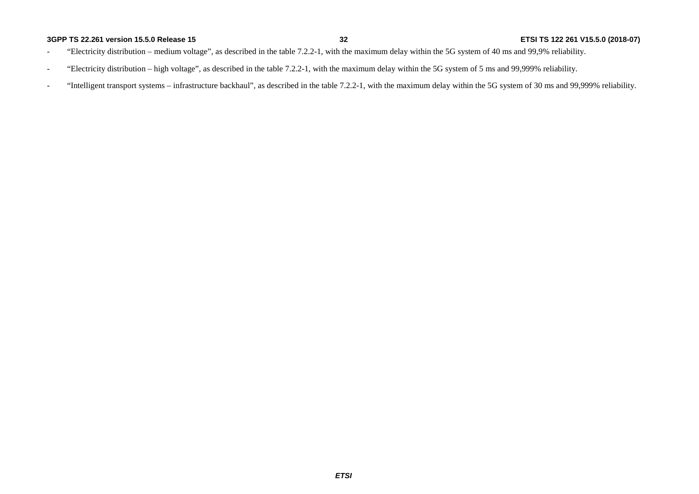#### **3GPP TS 22.261 version 15.5.0 Release 15**

- "Electricity distribution medium voltage", as described in the table 7.2.2-1, with the maximum delay within the 5G system of 40 ms and 99,9% reliability.
- "Electricity distribution high voltage", as described in the table 7.2.2-1, with the maximum delay within the 5G system of 5 ms and 99,999% reliability.
- "Intelligent transport systems infrastructure backhaul", as described in the table 7.2.2-1, with the maximum delay within the 5G system of 30 ms and 99,999% reliability.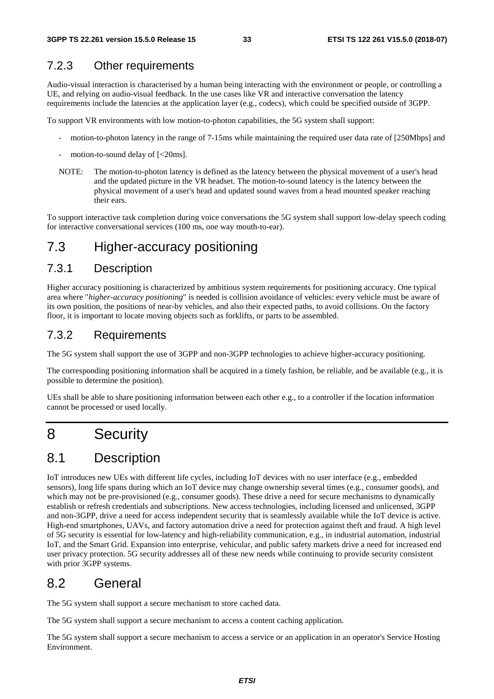## 7.2.3 Other requirements

Audio-visual interaction is characterised by a human being interacting with the environment or people, or controlling a UE, and relying on audio-visual feedback. In the use cases like VR and interactive conversation the latency requirements include the latencies at the application layer (e.g., codecs), which could be specified outside of 3GPP.

To support VR environments with low motion-to-photon capabilities, the 5G system shall support:

- motion-to-photon latency in the range of 7-15ms while maintaining the required user data rate of [250Mbps] and
- motion-to-sound delay of  $\left[ < 20 \text{ms} \right]$ .
- NOTE: The motion-to-photon latency is defined as the latency between the physical movement of a user's head and the updated picture in the VR headset. The motion-to-sound latency is the latency between the physical movement of a user's head and updated sound waves from a head mounted speaker reaching their ears.

To support interactive task completion during voice conversations the 5G system shall support low-delay speech coding for interactive conversational services (100 ms, one way mouth-to-ear).

## 7.3 Higher-accuracy positioning

### 7.3.1 Description

Higher accuracy positioning is characterized by ambitious system requirements for positioning accuracy. One typical area where "*higher-accuracy positioning*" is needed is collision avoidance of vehicles: every vehicle must be aware of its own position, the positions of near-by vehicles, and also their expected paths, to avoid collisions. On the factory floor, it is important to locate moving objects such as forklifts, or parts to be assembled.

### 7.3.2 Requirements

The 5G system shall support the use of 3GPP and non-3GPP technologies to achieve higher-accuracy positioning.

The corresponding positioning information shall be acquired in a timely fashion, be reliable, and be available (e.g., it is possible to determine the position).

UEs shall be able to share positioning information between each other e.g., to a controller if the location information cannot be processed or used locally.

## 8 Security

## 8.1 Description

IoT introduces new UEs with different life cycles, including IoT devices with no user interface (e.g., embedded sensors), long life spans during which an IoT device may change ownership several times (e.g., consumer goods), and which may not be pre-provisioned (e.g., consumer goods). These drive a need for secure mechanisms to dynamically establish or refresh credentials and subscriptions. New access technologies, including licensed and unlicensed, 3GPP and non-3GPP, drive a need for access independent security that is seamlessly available while the IoT device is active. High-end smartphones, UAVs, and factory automation drive a need for protection against theft and fraud. A high level of 5G security is essential for low-latency and high-reliability communication, e.g., in industrial automation, industrial IoT, and the Smart Grid. Expansion into enterprise, vehicular, and public safety markets drive a need for increased end user privacy protection. 5G security addresses all of these new needs while continuing to provide security consistent with prior 3GPP systems.

## 8.2 General

The 5G system shall support a secure mechanism to store cached data.

The 5G system shall support a secure mechanism to access a content caching application.

The 5G system shall support a secure mechanism to access a service or an application in an operator's Service Hosting Environment.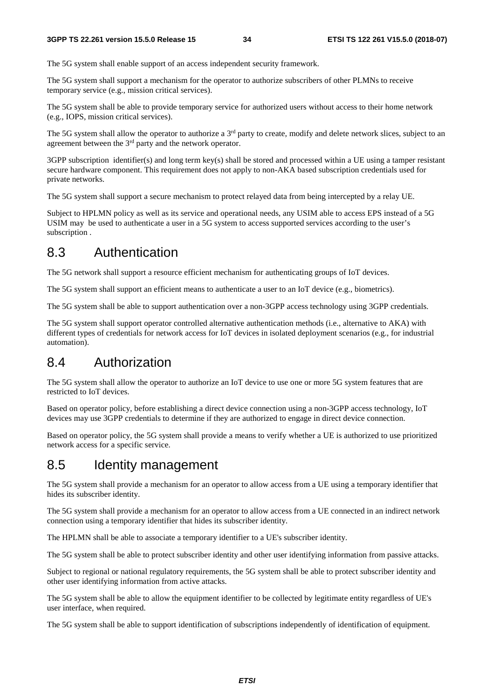The 5G system shall enable support of an access independent security framework.

The 5G system shall support a mechanism for the operator to authorize subscribers of other PLMNs to receive temporary service (e.g., mission critical services).

The 5G system shall be able to provide temporary service for authorized users without access to their home network (e.g., IOPS, mission critical services).

The 5G system shall allow the operator to authorize a 3<sup>rd</sup> party to create, modify and delete network slices, subject to an agreement between the 3rd party and the network operator.

3GPP subscription identifier(s) and long term key(s) shall be stored and processed within a UE using a tamper resistant secure hardware component. This requirement does not apply to non-AKA based subscription credentials used for private networks.

The 5G system shall support a secure mechanism to protect relayed data from being intercepted by a relay UE.

Subject to HPLMN policy as well as its service and operational needs, any USIM able to access EPS instead of a 5G USIM may be used to authenticate a user in a 5G system to access supported services according to the user's subscription .

## 8.3 Authentication

The 5G network shall support a resource efficient mechanism for authenticating groups of IoT devices.

The 5G system shall support an efficient means to authenticate a user to an IoT device (e.g., biometrics).

The 5G system shall be able to support authentication over a non-3GPP access technology using 3GPP credentials.

The 5G system shall support operator controlled alternative authentication methods (i.e., alternative to AKA) with different types of credentials for network access for IoT devices in isolated deployment scenarios (e.g., for industrial automation).

## 8.4 Authorization

The 5G system shall allow the operator to authorize an IoT device to use one or more 5G system features that are restricted to IoT devices.

Based on operator policy, before establishing a direct device connection using a non-3GPP access technology, IoT devices may use 3GPP credentials to determine if they are authorized to engage in direct device connection.

Based on operator policy, the 5G system shall provide a means to verify whether a UE is authorized to use prioritized network access for a specific service.

## 8.5 Identity management

The 5G system shall provide a mechanism for an operator to allow access from a UE using a temporary identifier that hides its subscriber identity.

The 5G system shall provide a mechanism for an operator to allow access from a UE connected in an indirect network connection using a temporary identifier that hides its subscriber identity.

The HPLMN shall be able to associate a temporary identifier to a UE's subscriber identity.

The 5G system shall be able to protect subscriber identity and other user identifying information from passive attacks.

Subject to regional or national regulatory requirements, the 5G system shall be able to protect subscriber identity and other user identifying information from active attacks.

The 5G system shall be able to allow the equipment identifier to be collected by legitimate entity regardless of UE's user interface, when required.

The 5G system shall be able to support identification of subscriptions independently of identification of equipment.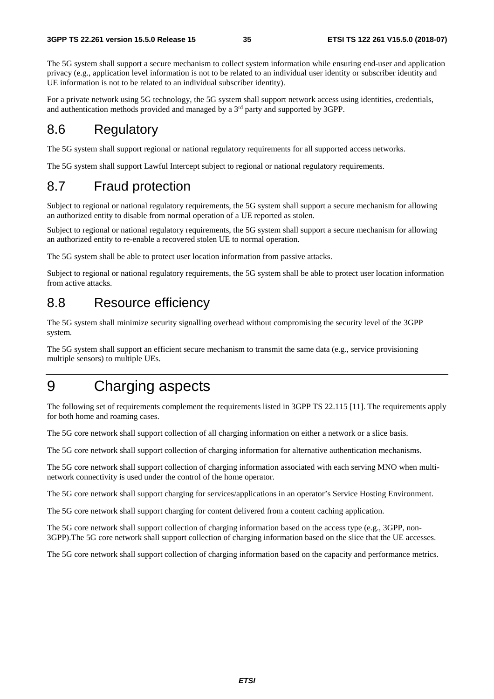The 5G system shall support a secure mechanism to collect system information while ensuring end-user and application privacy (e.g., application level information is not to be related to an individual user identity or subscriber identity and UE information is not to be related to an individual subscriber identity).

For a private network using 5G technology, the 5G system shall support network access using identities, credentials, and authentication methods provided and managed by a  $3<sup>rd</sup>$  party and supported by 3GPP.

## 8.6 Regulatory

The 5G system shall support regional or national regulatory requirements for all supported access networks.

The 5G system shall support Lawful Intercept subject to regional or national regulatory requirements.

## 8.7 Fraud protection

Subject to regional or national regulatory requirements, the 5G system shall support a secure mechanism for allowing an authorized entity to disable from normal operation of a UE reported as stolen.

Subject to regional or national regulatory requirements, the 5G system shall support a secure mechanism for allowing an authorized entity to re-enable a recovered stolen UE to normal operation.

The 5G system shall be able to protect user location information from passive attacks.

Subject to regional or national regulatory requirements, the 5G system shall be able to protect user location information from active attacks.

## 8.8 Resource efficiency

The 5G system shall minimize security signalling overhead without compromising the security level of the 3GPP system.

The 5G system shall support an efficient secure mechanism to transmit the same data (e.g., service provisioning multiple sensors) to multiple UEs.

## 9 Charging aspects

The following set of requirements complement the requirements listed in 3GPP TS 22.115 [11]. The requirements apply for both home and roaming cases.

The 5G core network shall support collection of all charging information on either a network or a slice basis.

The 5G core network shall support collection of charging information for alternative authentication mechanisms.

The 5G core network shall support collection of charging information associated with each serving MNO when multinetwork connectivity is used under the control of the home operator.

The 5G core network shall support charging for services/applications in an operator's Service Hosting Environment.

The 5G core network shall support charging for content delivered from a content caching application.

The 5G core network shall support collection of charging information based on the access type (e.g., 3GPP, non-3GPP).The 5G core network shall support collection of charging information based on the slice that the UE accesses.

The 5G core network shall support collection of charging information based on the capacity and performance metrics.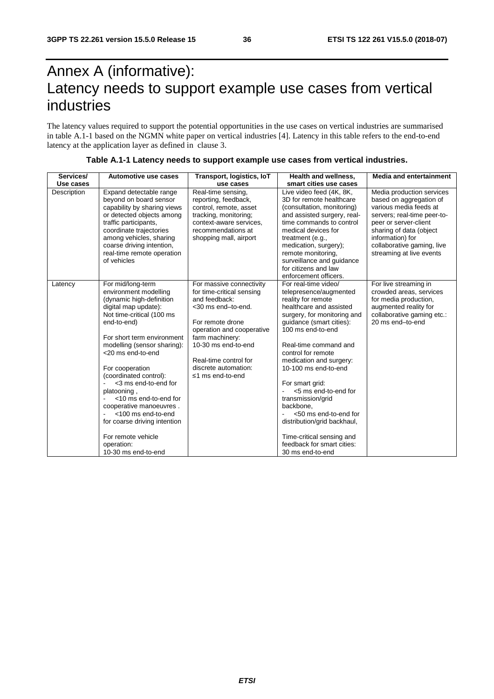## Annex A (informative): Latency needs to support example use cases from vertical industries

The latency values required to support the potential opportunities in the use cases on vertical industries are summarised in table A.1-1 based on the NGMN white paper on vertical industries [4]. Latency in this table refers to the end-to-end latency at the application layer as defined in clause 3.

| Services/   | Automotive use cases                                                                                                                                                                                                                                                                                                                                                                                                                                                                  | Transport, logistics, IoT                                                                                                                                                                                                                                    | <b>Health and wellness.</b>                                                                                                                                                                                                                                                                                                                                                                                                                                                                           | <b>Media and entertainment</b>                                                                                                                                                                                                                  |
|-------------|---------------------------------------------------------------------------------------------------------------------------------------------------------------------------------------------------------------------------------------------------------------------------------------------------------------------------------------------------------------------------------------------------------------------------------------------------------------------------------------|--------------------------------------------------------------------------------------------------------------------------------------------------------------------------------------------------------------------------------------------------------------|-------------------------------------------------------------------------------------------------------------------------------------------------------------------------------------------------------------------------------------------------------------------------------------------------------------------------------------------------------------------------------------------------------------------------------------------------------------------------------------------------------|-------------------------------------------------------------------------------------------------------------------------------------------------------------------------------------------------------------------------------------------------|
| Use cases   |                                                                                                                                                                                                                                                                                                                                                                                                                                                                                       | use cases                                                                                                                                                                                                                                                    | smart cities use cases                                                                                                                                                                                                                                                                                                                                                                                                                                                                                |                                                                                                                                                                                                                                                 |
| Description | Expand detectable range<br>beyond on board sensor<br>capability by sharing views<br>or detected objects among<br>traffic participants,<br>coordinate trajectories<br>among vehicles, sharing<br>coarse driving intention,<br>real-time remote operation<br>of vehicles                                                                                                                                                                                                                | Real-time sensing,<br>reporting, feedback,<br>control, remote, asset<br>tracking, monitoring;<br>context-aware services,<br>recommendations at<br>shopping mall, airport                                                                                     | Live video feed (4K, 8K,<br>3D for remote healthcare<br>(consultation, monitoring)<br>and assisted surgery, real-<br>time commands to control<br>medical devices for<br>treatment (e.g.,<br>medication, surgery);<br>remote monitoring.<br>surveillance and guidance<br>for citizens and law<br>enforcement officers.                                                                                                                                                                                 | Media production services<br>based on aggregation of<br>various media feeds at<br>servers; real-time peer-to-<br>peer or server-client<br>sharing of data (object<br>information) for<br>collaborative gaming, live<br>streaming at live events |
| Latency     | For mid/long-term<br>environment modelling<br>(dynamic high-definition<br>digital map update):<br>Not time-critical (100 ms<br>end-to-end)<br>For short term environment<br>modelling (sensor sharing):<br><20 ms end-to-end<br>For cooperation<br>(coordinated control):<br><3 ms end-to-end for<br>platooning,<br><10 ms end-to-end for<br>cooperative manoeuvres.<br><100 ms end-to-end<br>for coarse driving intention<br>For remote vehicle<br>operation:<br>10-30 ms end-to-end | For massive connectivity<br>for time-critical sensing<br>and feedback:<br><30 ms end-to-end.<br>For remote drone<br>operation and cooperative<br>farm machinery:<br>10-30 ms end-to-end<br>Real-time control for<br>discrete automation:<br>≤1 ms end-to-end | For real-time video/<br>telepresence/augmented<br>reality for remote<br>healthcare and assisted<br>surgery, for monitoring and<br>guidance (smart cities):<br>100 ms end-to-end<br>Real-time command and<br>control for remote<br>medication and surgery:<br>10-100 ms end-to-end<br>For smart grid:<br><5 ms end-to-end for<br>transmission/grid<br>backbone,<br><50 ms end-to-end for<br>distribution/grid backhaul,<br>Time-critical sensing and<br>feedback for smart cities:<br>30 ms end-to-end | For live streaming in<br>crowded areas, services<br>for media production,<br>augmented reality for<br>collaborative gaming etc.:<br>20 ms end-to-end                                                                                            |

#### **Table A.1-1 Latency needs to support example use cases from vertical industries.**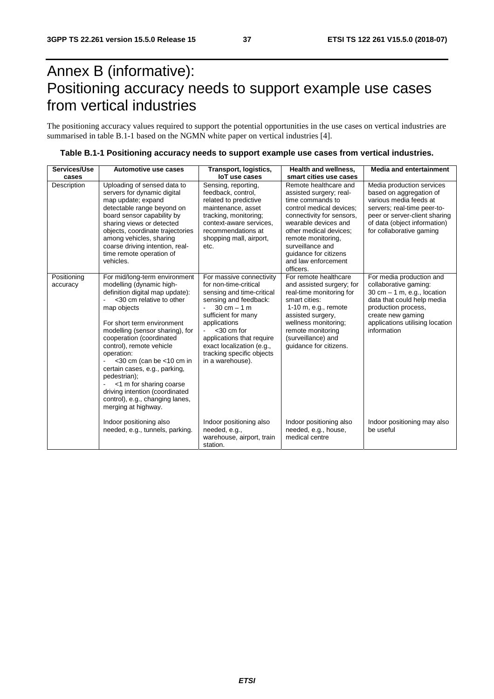## Annex B (informative): Positioning accuracy needs to support example use cases from vertical industries

The positioning accuracy values required to support the potential opportunities in the use cases on vertical industries are summarised in table B.1-1 based on the NGMN white paper on vertical industries [4].

| Services/Use            | Automotive use cases                                                                                                                                                                                                                                                                                                                                                                                                                                                                     | Transport, logistics,                                                                                                                                                                                                                                                                                       | <b>Health and wellness.</b>                                                                                                                                                                                                                                                            | <b>Media and entertainment</b>                                                                                                                                                                                 |
|-------------------------|------------------------------------------------------------------------------------------------------------------------------------------------------------------------------------------------------------------------------------------------------------------------------------------------------------------------------------------------------------------------------------------------------------------------------------------------------------------------------------------|-------------------------------------------------------------------------------------------------------------------------------------------------------------------------------------------------------------------------------------------------------------------------------------------------------------|----------------------------------------------------------------------------------------------------------------------------------------------------------------------------------------------------------------------------------------------------------------------------------------|----------------------------------------------------------------------------------------------------------------------------------------------------------------------------------------------------------------|
| cases                   |                                                                                                                                                                                                                                                                                                                                                                                                                                                                                          | loT use cases                                                                                                                                                                                                                                                                                               | smart cities use cases                                                                                                                                                                                                                                                                 |                                                                                                                                                                                                                |
| Description             | Uploading of sensed data to<br>servers for dynamic digital<br>map update; expand<br>detectable range beyond on<br>board sensor capability by<br>sharing views or detected<br>objects, coordinate trajectories<br>among vehicles, sharing<br>coarse driving intention, real-<br>time remote operation of<br>vehicles.                                                                                                                                                                     | Sensing, reporting,<br>feedback, control,<br>related to predictive<br>maintenance, asset<br>tracking, monitoring;<br>context-aware services.<br>recommendations at<br>shopping mall, airport,<br>etc.                                                                                                       | Remote healthcare and<br>assisted surgery; real-<br>time commands to<br>control medical devices;<br>connectivity for sensors,<br>wearable devices and<br>other medical devices;<br>remote monitoring,<br>surveillance and<br>quidance for citizens<br>and law enforcement<br>officers. | Media production services<br>based on aggregation of<br>various media feeds at<br>servers; real-time peer-to-<br>peer or server-client sharing<br>of data (object information)<br>for collaborative gaming     |
| Positioning<br>accuracy | For mid/long-term environment<br>modelling (dynamic high-<br>definition digital map update):<br><30 cm relative to other<br>map objects<br>For short term environment<br>modelling (sensor sharing), for<br>cooperation (coordinated<br>control), remote vehicle<br>operation:<br>$<$ 30 cm (can be $<$ 10 cm in<br>certain cases, e.g., parking,<br>pedestrian);<br><1 m for sharing coarse<br>driving intention (coordinated<br>control), e.g., changing lanes,<br>merging at highway. | For massive connectivity<br>for non-time-critical<br>sensing and time-critical<br>sensing and feedback:<br>$30 \text{ cm} - 1 \text{ m}$<br>sufficient for many<br>applications<br>$<$ 30 cm for<br>applications that require<br>exact localization (e.g.,<br>tracking specific objects<br>in a warehouse). | For remote healthcare<br>and assisted surgery; for<br>real-time monitoring for<br>smart cities:<br>$1-10$ m, e.g., remote<br>assisted surgery,<br>wellness monitoring;<br>remote monitoring<br>(surveillance) and<br>quidance for citizens.                                            | For media production and<br>collaborative gaming:<br>30 cm $-$ 1 m, e.g., location<br>data that could help media<br>production process,<br>create new gaming<br>applications utilising location<br>information |
|                         | Indoor positioning also<br>needed, e.g., tunnels, parking.                                                                                                                                                                                                                                                                                                                                                                                                                               | Indoor positioning also<br>needed, e.g.,<br>warehouse, airport, train<br>station.                                                                                                                                                                                                                           | Indoor positioning also<br>needed, e.g., house,<br>medical centre                                                                                                                                                                                                                      | Indoor positioning may also<br>be useful                                                                                                                                                                       |

|  | Table B.1-1 Positioning accuracy needs to support example use cases from vertical industries. |
|--|-----------------------------------------------------------------------------------------------|
|--|-----------------------------------------------------------------------------------------------|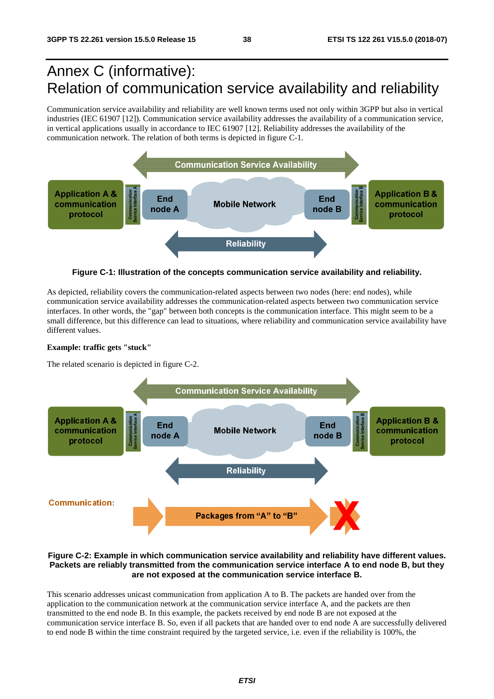## Annex C (informative): Relation of communication service availability and reliability

Communication service availability and reliability are well known terms used not only within 3GPP but also in vertical industries (IEC 61907 [12]). Communication service availability addresses the availability of a communication service, in vertical applications usually in accordance to IEC 61907 [12]. Reliability addresses the availability of the communication network. The relation of both terms is depicted in figure C-1.



**Figure C-1: Illustration of the concepts communication service availability and reliability.** 

As depicted, reliability covers the communication-related aspects between two nodes (here: end nodes), while communication service availability addresses the communication-related aspects between two communication service interfaces. In other words, the "gap" between both concepts is the communication interface. This might seem to be a small difference, but this difference can lead to situations, where reliability and communication service availability have different values.

#### **Example: traffic gets "stuck"**

The related scenario is depicted in figure C-2.



#### **Figure C-2: Example in which communication service availability and reliability have different values. Packets are reliably transmitted from the communication service interface A to end node B, but they are not exposed at the communication service interface B.**

This scenario addresses unicast communication from application A to B. The packets are handed over from the application to the communication network at the communication service interface A, and the packets are then transmitted to the end node B. In this example, the packets received by end node B are not exposed at the communication service interface B. So, even if all packets that are handed over to end node A are successfully delivered to end node B within the time constraint required by the targeted service, i.e. even if the reliability is 100%, the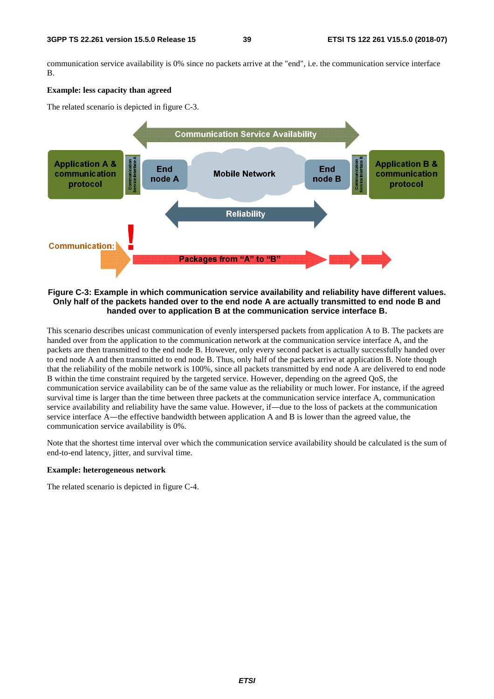communication service availability is 0% since no packets arrive at the "end", i.e. the communication service interface B.

#### **Example: less capacity than agreed**

The related scenario is depicted in figure C-3.



#### **Figure C-3: Example in which communication service availability and reliability have different values. Only half of the packets handed over to the end node A are actually transmitted to end node B and handed over to application B at the communication service interface B.**

This scenario describes unicast communication of evenly interspersed packets from application A to B. The packets are handed over from the application to the communication network at the communication service interface A, and the packets are then transmitted to the end node B. However, only every second packet is actually successfully handed over to end node A and then transmitted to end node B. Thus, only half of the packets arrive at application B. Note though that the reliability of the mobile network is 100%, since all packets transmitted by end node A are delivered to end node B within the time constraint required by the targeted service. However, depending on the agreed QoS, the communication service availability can be of the same value as the reliability or much lower. For instance, if the agreed survival time is larger than the time between three packets at the communication service interface A, communication service availability and reliability have the same value. However, if―due to the loss of packets at the communication service interface A—the effective bandwidth between application A and B is lower than the agreed value, the communication service availability is 0%.

Note that the shortest time interval over which the communication service availability should be calculated is the sum of end-to-end latency, jitter, and survival time.

#### **Example: heterogeneous network**

The related scenario is depicted in figure C-4.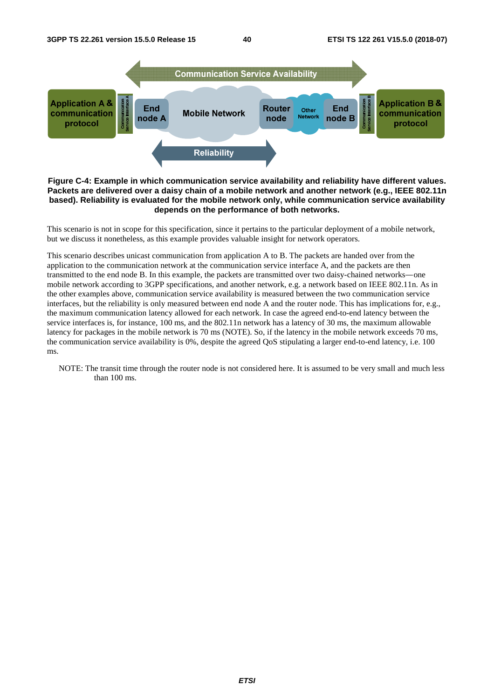

#### **Figure C-4: Example in which communication service availability and reliability have different values. Packets are delivered over a daisy chain of a mobile network and another network (e.g., IEEE 802.11n based). Reliability is evaluated for the mobile network only, while communication service availability depends on the performance of both networks.**

This scenario is not in scope for this specification, since it pertains to the particular deployment of a mobile network, but we discuss it nonetheless, as this example provides valuable insight for network operators.

This scenario describes unicast communication from application A to B. The packets are handed over from the application to the communication network at the communication service interface A, and the packets are then transmitted to the end node B. In this example, the packets are transmitted over two daisy-chained networks―one mobile network according to 3GPP specifications, and another network, e.g. a network based on IEEE 802.11n. As in the other examples above, communication service availability is measured between the two communication service interfaces, but the reliability is only measured between end node A and the router node. This has implications for, e.g., the maximum communication latency allowed for each network. In case the agreed end-to-end latency between the service interfaces is, for instance, 100 ms, and the 802.11n network has a latency of 30 ms, the maximum allowable latency for packages in the mobile network is 70 ms (NOTE). So, if the latency in the mobile network exceeds 70 ms, the communication service availability is 0%, despite the agreed QoS stipulating a larger end-to-end latency, i.e. 100 ms.

NOTE: The transit time through the router node is not considered here. It is assumed to be very small and much less than 100 ms.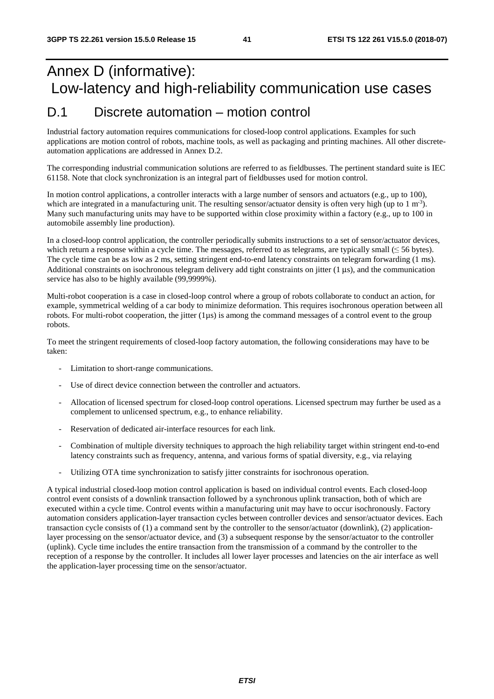## Annex D (informative): Low-latency and high-reliability communication use cases

## D.1 Discrete automation – motion control

Industrial factory automation requires communications for closed-loop control applications. Examples for such applications are motion control of robots, machine tools, as well as packaging and printing machines. All other discreteautomation applications are addressed in Annex D.2.

The corresponding industrial communication solutions are referred to as fieldbusses. The pertinent standard suite is IEC 61158. Note that clock synchronization is an integral part of fieldbusses used for motion control.

In motion control applications, a controller interacts with a large number of sensors and actuators (e.g., up to 100), which are integrated in a manufacturing unit. The resulting sensor/actuator density is often very high (up to 1 m<sup>-3</sup>). Many such manufacturing units may have to be supported within close proximity within a factory (e.g., up to 100 in automobile assembly line production).

In a closed-loop control application, the controller periodically submits instructions to a set of sensor/actuator devices, which return a response within a cycle time. The messages, referred to as telegrams, are typically small  $(\leq 56$  bytes). The cycle time can be as low as 2 ms, setting stringent end-to-end latency constraints on telegram forwarding (1 ms). Additional constraints on isochronous telegram delivery add tight constraints on jitter (1 us), and the communication service has also to be highly available (99,9999%).

Multi-robot cooperation is a case in closed-loop control where a group of robots collaborate to conduct an action, for example, symmetrical welding of a car body to minimize deformation. This requires isochronous operation between all robots. For multi-robot cooperation, the jitter  $(1\mu s)$  is among the command messages of a control event to the group robots.

To meet the stringent requirements of closed-loop factory automation, the following considerations may have to be taken:

- Limitation to short-range communications.
- Use of direct device connection between the controller and actuators.
- Allocation of licensed spectrum for closed-loop control operations. Licensed spectrum may further be used as a complement to unlicensed spectrum, e.g., to enhance reliability.
- Reservation of dedicated air-interface resources for each link.
- Combination of multiple diversity techniques to approach the high reliability target within stringent end-to-end latency constraints such as frequency, antenna, and various forms of spatial diversity, e.g., via relaying
- Utilizing OTA time synchronization to satisfy jitter constraints for isochronous operation.

A typical industrial closed-loop motion control application is based on individual control events. Each closed-loop control event consists of a downlink transaction followed by a synchronous uplink transaction, both of which are executed within a cycle time. Control events within a manufacturing unit may have to occur isochronously. Factory automation considers application-layer transaction cycles between controller devices and sensor/actuator devices. Each transaction cycle consists of (1) a command sent by the controller to the sensor/actuator (downlink), (2) applicationlayer processing on the sensor/actuator device, and (3) a subsequent response by the sensor/actuator to the controller (uplink). Cycle time includes the entire transaction from the transmission of a command by the controller to the reception of a response by the controller. It includes all lower layer processes and latencies on the air interface as well the application-layer processing time on the sensor/actuator.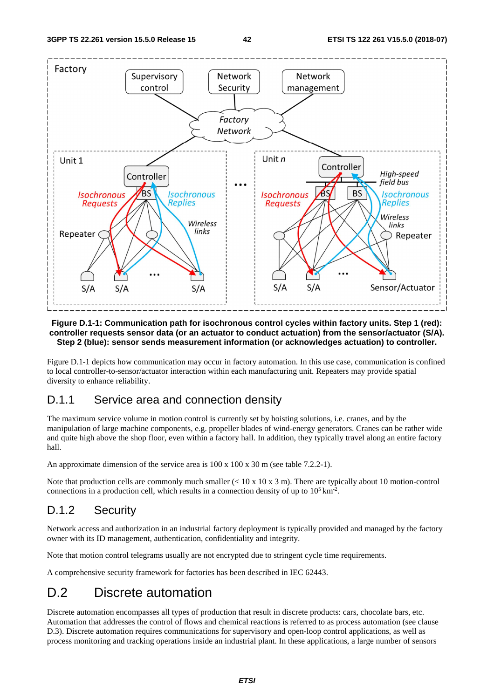

#### **Figure D.1-1: Communication path for isochronous control cycles within factory units. Step 1 (red): controller requests sensor data (or an actuator to conduct actuation) from the sensor/actuator (S/A). Step 2 (blue): sensor sends measurement information (or acknowledges actuation) to controller.**

Figure D.1-1 depicts how communication may occur in factory automation. In this use case, communication is confined to local controller-to-sensor/actuator interaction within each manufacturing unit. Repeaters may provide spatial diversity to enhance reliability.

### D.1.1 Service area and connection density

The maximum service volume in motion control is currently set by hoisting solutions, i.e. cranes, and by the manipulation of large machine components, e.g. propeller blades of wind-energy generators. Cranes can be rather wide and quite high above the shop floor, even within a factory hall. In addition, they typically travel along an entire factory hall.

An approximate dimension of the service area is 100 x 100 x 30 m (see table 7.2.2-1).

Note that production cells are commonly much smaller  $(< 10 \times 10 \times 3 \text{ m})$ . There are typically about 10 motion-control connections in a production cell, which results in a connection density of up to  $10^5 \text{ km}^2$ .

## D.1.2 Security

Network access and authorization in an industrial factory deployment is typically provided and managed by the factory owner with its ID management, authentication, confidentiality and integrity.

Note that motion control telegrams usually are not encrypted due to stringent cycle time requirements.

A comprehensive security framework for factories has been described in IEC 62443.

## D.2 Discrete automation

Discrete automation encompasses all types of production that result in discrete products: cars, chocolate bars, etc. Automation that addresses the control of flows and chemical reactions is referred to as process automation (see clause D.3). Discrete automation requires communications for supervisory and open-loop control applications, as well as process monitoring and tracking operations inside an industrial plant. In these applications, a large number of sensors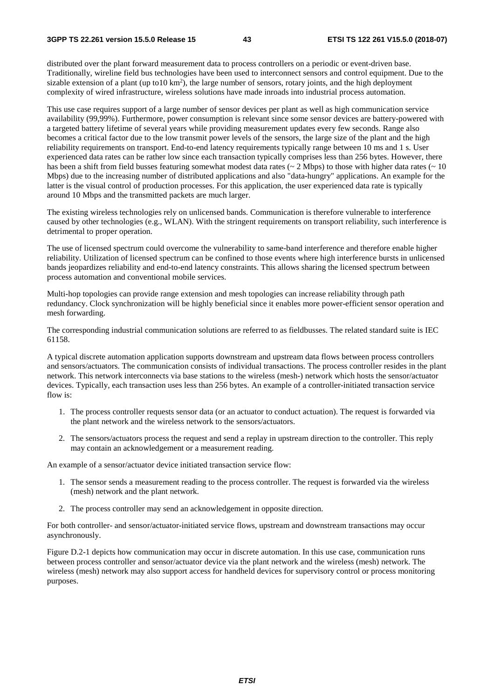#### **3GPP TS 22.261 version 15.5.0 Release 15 43 ETSI TS 122 261 V15.5.0 (2018-07)**

distributed over the plant forward measurement data to process controllers on a periodic or event-driven base. Traditionally, wireline field bus technologies have been used to interconnect sensors and control equipment. Due to the sizable extension of a plant (up to10  $km<sup>2</sup>$ ), the large number of sensors, rotary joints, and the high deployment complexity of wired infrastructure, wireless solutions have made inroads into industrial process automation.

This use case requires support of a large number of sensor devices per plant as well as high communication service availability (99,99%). Furthermore, power consumption is relevant since some sensor devices are battery-powered with a targeted battery lifetime of several years while providing measurement updates every few seconds. Range also becomes a critical factor due to the low transmit power levels of the sensors, the large size of the plant and the high reliability requirements on transport. End-to-end latency requirements typically range between 10 ms and 1 s. User experienced data rates can be rather low since each transaction typically comprises less than 256 bytes. However, there has been a shift from field busses featuring somewhat modest data rates ( $\sim 2$  Mbps) to those with higher data rates ( $\sim 10$ Mbps) due to the increasing number of distributed applications and also "data-hungry" applications. An example for the latter is the visual control of production processes. For this application, the user experienced data rate is typically around 10 Mbps and the transmitted packets are much larger.

The existing wireless technologies rely on unlicensed bands. Communication is therefore vulnerable to interference caused by other technologies (e.g., WLAN). With the stringent requirements on transport reliability, such interference is detrimental to proper operation.

The use of licensed spectrum could overcome the vulnerability to same-band interference and therefore enable higher reliability. Utilization of licensed spectrum can be confined to those events where high interference bursts in unlicensed bands jeopardizes reliability and end-to-end latency constraints. This allows sharing the licensed spectrum between process automation and conventional mobile services.

Multi-hop topologies can provide range extension and mesh topologies can increase reliability through path redundancy. Clock synchronization will be highly beneficial since it enables more power-efficient sensor operation and mesh forwarding.

The corresponding industrial communication solutions are referred to as fieldbusses. The related standard suite is IEC 61158.

A typical discrete automation application supports downstream and upstream data flows between process controllers and sensors/actuators. The communication consists of individual transactions. The process controller resides in the plant network. This network interconnects via base stations to the wireless (mesh-) network which hosts the sensor/actuator devices. Typically, each transaction uses less than 256 bytes. An example of a controller-initiated transaction service flow is:

- 1. The process controller requests sensor data (or an actuator to conduct actuation). The request is forwarded via the plant network and the wireless network to the sensors/actuators.
- 2. The sensors/actuators process the request and send a replay in upstream direction to the controller. This reply may contain an acknowledgement or a measurement reading.

An example of a sensor/actuator device initiated transaction service flow:

- 1. The sensor sends a measurement reading to the process controller. The request is forwarded via the wireless (mesh) network and the plant network.
- 2. The process controller may send an acknowledgement in opposite direction.

For both controller- and sensor/actuator-initiated service flows, upstream and downstream transactions may occur asynchronously.

Figure D.2-1 depicts how communication may occur in discrete automation. In this use case, communication runs between process controller and sensor/actuator device via the plant network and the wireless (mesh) network. The wireless (mesh) network may also support access for handheld devices for supervisory control or process monitoring purposes.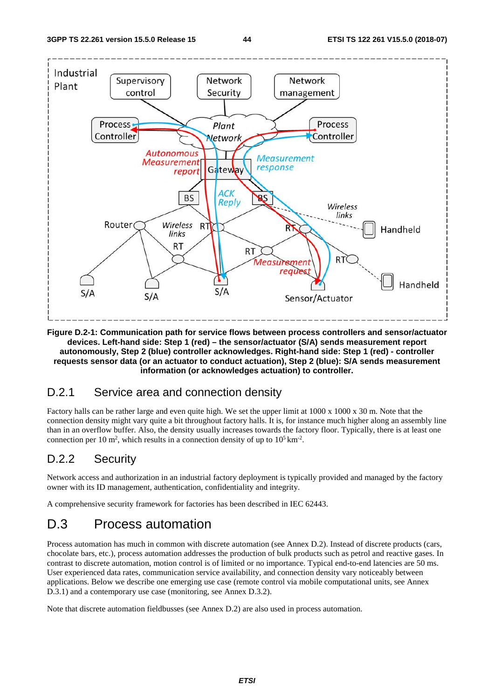

**Figure D.2-1: Communication path for service flows between process controllers and sensor/actuator devices. Left-hand side: Step 1 (red) – the sensor/actuator (S/A) sends measurement report autonomously, Step 2 (blue) controller acknowledges. Right-hand side: Step 1 (red) - controller requests sensor data (or an actuator to conduct actuation), Step 2 (blue): S/A sends measurement information (or acknowledges actuation) to controller.** 

## D.2.1 Service area and connection density

Factory halls can be rather large and even quite high. We set the upper limit at 1000 x 1000 x 30 m. Note that the connection density might vary quite a bit throughout factory halls. It is, for instance much higher along an assembly line than in an overflow buffer. Also, the density usually increases towards the factory floor. Typically, there is at least one connection per 10 m<sup>2</sup>, which results in a connection density of up to  $10^5 \text{ km}^2$ .

## D.2.2 Security

Network access and authorization in an industrial factory deployment is typically provided and managed by the factory owner with its ID management, authentication, confidentiality and integrity.

A comprehensive security framework for factories has been described in IEC 62443.

## D.3 Process automation

Process automation has much in common with discrete automation (see Annex D.2). Instead of discrete products (cars, chocolate bars, etc.), process automation addresses the production of bulk products such as petrol and reactive gases. In contrast to discrete automation, motion control is of limited or no importance. Typical end-to-end latencies are 50 ms. User experienced data rates, communication service availability, and connection density vary noticeably between applications. Below we describe one emerging use case (remote control via mobile computational units, see Annex D.3.1) and a contemporary use case (monitoring, see Annex D.3.2).

Note that discrete automation fieldbusses (see Annex D.2) are also used in process automation.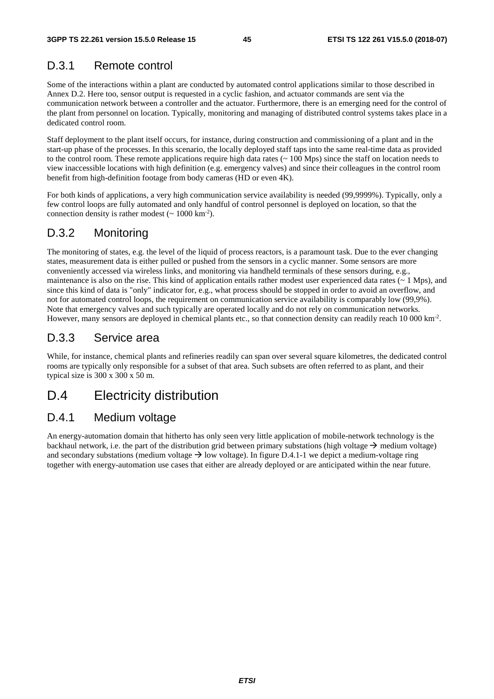## D.3.1 Remote control

Some of the interactions within a plant are conducted by automated control applications similar to those described in Annex D.2. Here too, sensor output is requested in a cyclic fashion, and actuator commands are sent via the communication network between a controller and the actuator. Furthermore, there is an emerging need for the control of the plant from personnel on location. Typically, monitoring and managing of distributed control systems takes place in a dedicated control room.

Staff deployment to the plant itself occurs, for instance, during construction and commissioning of a plant and in the start-up phase of the processes. In this scenario, the locally deployed staff taps into the same real-time data as provided to the control room. These remote applications require high data rates (~ 100 Mps) since the staff on location needs to view inaccessible locations with high definition (e.g. emergency valves) and since their colleagues in the control room benefit from high-definition footage from body cameras (HD or even 4K).

For both kinds of applications, a very high communication service availability is needed (99,9999%). Typically, only a few control loops are fully automated and only handful of control personnel is deployed on location, so that the connection density is rather modest  $({\sim 1000 \text{ km}^{-2}})$ .

### D.3.2 Monitoring

The monitoring of states, e.g. the level of the liquid of process reactors, is a paramount task. Due to the ever changing states, measurement data is either pulled or pushed from the sensors in a cyclic manner. Some sensors are more conveniently accessed via wireless links, and monitoring via handheld terminals of these sensors during, e.g., maintenance is also on the rise. This kind of application entails rather modest user experienced data rates  $($   $\sim$  1 Mps), and since this kind of data is "only" indicator for, e.g., what process should be stopped in order to avoid an overflow, and not for automated control loops, the requirement on communication service availability is comparably low (99,9%). Note that emergency valves and such typically are operated locally and do not rely on communication networks. However, many sensors are deployed in chemical plants etc., so that connection density can readily reach 10 000 km<sup>-2</sup>.

### D.3.3 Service area

While, for instance, chemical plants and refineries readily can span over several square kilometres, the dedicated control rooms are typically only responsible for a subset of that area. Such subsets are often referred to as plant, and their typical size is 300 x 300 x 50 m.

## D.4 Electricity distribution

### D.4.1 Medium voltage

An energy-automation domain that hitherto has only seen very little application of mobile-network technology is the backhaul network, i.e. the part of the distribution grid between primary substations (high voltage  $\rightarrow$  medium voltage) and secondary substations (medium voltage  $\rightarrow$  low voltage). In figure D.4.1-1 we depict a medium-voltage ring together with energy-automation use cases that either are already deployed or are anticipated within the near future.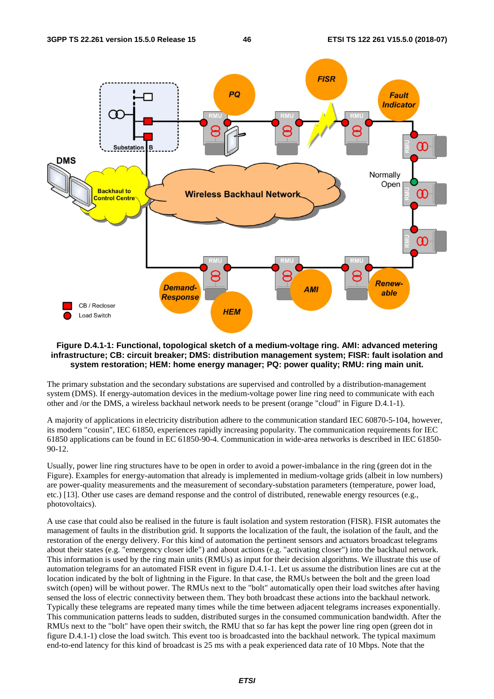

#### **Figure D.4.1-1: Functional, topological sketch of a medium-voltage ring. AMI: advanced metering infrastructure; CB: circuit breaker; DMS: distribution management system; FISR: fault isolation and system restoration; HEM: home energy manager; PQ: power quality; RMU: ring main unit.**

The primary substation and the secondary substations are supervised and controlled by a distribution-management system (DMS). If energy-automation devices in the medium-voltage power line ring need to communicate with each other and /or the DMS, a wireless backhaul network needs to be present (orange "cloud" in Figure D.4.1-1).

A majority of applications in electricity distribution adhere to the communication standard IEC 60870-5-104, however, its modern "cousin", IEC 61850, experiences rapidly increasing popularity. The communication requirements for IEC 61850 applications can be found in EC 61850-90-4. Communication in wide-area networks is described in IEC 61850- 90-12.

Usually, power line ring structures have to be open in order to avoid a power-imbalance in the ring (green dot in the Figure). Examples for energy-automation that already is implemented in medium-voltage grids (albeit in low numbers) are power-quality measurements and the measurement of secondary-substation parameters (temperature, power load, etc.) [13]. Other use cases are demand response and the control of distributed, renewable energy resources (e.g., photovoltaics).

A use case that could also be realised in the future is fault isolation and system restoration (FISR). FISR automates the management of faults in the distribution grid. It supports the localization of the fault, the isolation of the fault, and the restoration of the energy delivery. For this kind of automation the pertinent sensors and actuators broadcast telegrams about their states (e.g. "emergency closer idle") and about actions (e.g. "activating closer") into the backhaul network. This information is used by the ring main units (RMUs) as input for their decision algorithms. We illustrate this use of automation telegrams for an automated FISR event in figure D.4.1-1. Let us assume the distribution lines are cut at the location indicated by the bolt of lightning in the Figure. In that case, the RMUs between the bolt and the green load switch (open) will be without power. The RMUs next to the "bolt" automatically open their load switches after having sensed the loss of electric connectivity between them. They both broadcast these actions into the backhaul network. Typically these telegrams are repeated many times while the time between adjacent telegrams increases exponentially. This communication patterns leads to sudden, distributed surges in the consumed communication bandwidth. After the RMUs next to the "bolt" have open their switch, the RMU that so far has kept the power line ring open (green dot in figure D.4.1-1) close the load switch. This event too is broadcasted into the backhaul network. The typical maximum end-to-end latency for this kind of broadcast is 25 ms with a peak experienced data rate of 10 Mbps. Note that the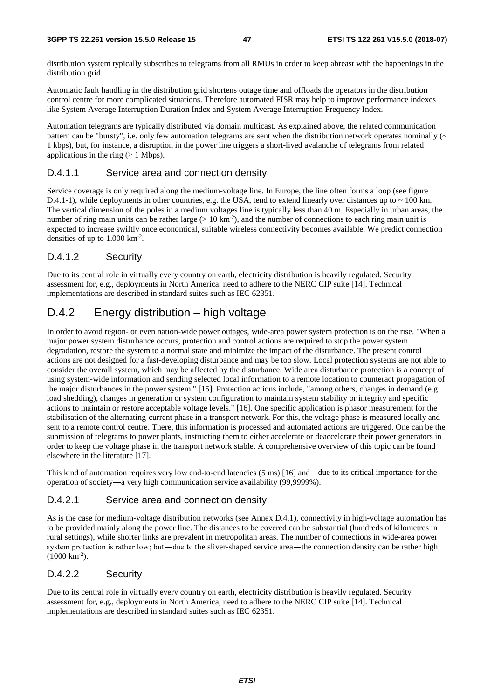distribution system typically subscribes to telegrams from all RMUs in order to keep abreast with the happenings in the distribution grid.

Automatic fault handling in the distribution grid shortens outage time and offloads the operators in the distribution control centre for more complicated situations. Therefore automated FISR may help to improve performance indexes like System Average Interruption Duration Index and System Average Interruption Frequency Index.

Automation telegrams are typically distributed via domain multicast. As explained above, the related communication pattern can be "bursty", i.e. only few automation telegrams are sent when the distribution network operates nominally  $(\sim$ 1 kbps), but, for instance, a disruption in the power line triggers a short-lived avalanche of telegrams from related applications in the ring ( $\geq 1$  Mbps).

#### D.4.1.1 Service area and connection density

Service coverage is only required along the medium-voltage line. In Europe, the line often forms a loop (see figure D.4.1-1), while deployments in other countries, e.g. the USA, tend to extend linearly over distances up to  $\sim$  100 km. The vertical dimension of the poles in a medium voltages line is typically less than 40 m. Especially in urban areas, the number of ring main units can be rather large ( $> 10 \text{ km}^{-2}$ ), and the number of connections to each ring main unit is expected to increase swiftly once economical, suitable wireless connectivity becomes available. We predict connection densities of up to 1.000 km-2.

#### D.4.1.2 Security

Due to its central role in virtually every country on earth, electricity distribution is heavily regulated. Security assessment for, e.g., deployments in North America, need to adhere to the NERC CIP suite [14]. Technical implementations are described in standard suites such as IEC 62351.

## D.4.2 Energy distribution – high voltage

In order to avoid region- or even nation-wide power outages, wide-area power system protection is on the rise. "When a major power system disturbance occurs, protection and control actions are required to stop the power system degradation, restore the system to a normal state and minimize the impact of the disturbance. The present control actions are not designed for a fast-developing disturbance and may be too slow. Local protection systems are not able to consider the overall system, which may be affected by the disturbance. Wide area disturbance protection is a concept of using system-wide information and sending selected local information to a remote location to counteract propagation of the major disturbances in the power system." [15]. Protection actions include, "among others, changes in demand (e.g. load shedding), changes in generation or system configuration to maintain system stability or integrity and specific actions to maintain or restore acceptable voltage levels." [16]. One specific application is phasor measurement for the stabilisation of the alternating-current phase in a transport network. For this, the voltage phase is measured locally and sent to a remote control centre. There, this information is processed and automated actions are triggered. One can be the submission of telegrams to power plants, instructing them to either accelerate or deaccelerate their power generators in order to keep the voltage phase in the transport network stable. A comprehensive overview of this topic can be found elsewhere in the literature [17].

This kind of automation requires very low end-to-end latencies (5 ms) [16] and—due to its critical importance for the operation of society―a very high communication service availability (99,9999%).

#### D.4.2.1 Service area and connection density

As is the case for medium-voltage distribution networks (see Annex D.4.1), connectivity in high-voltage automation has to be provided mainly along the power line. The distances to be covered can be substantial (hundreds of kilometres in rural settings), while shorter links are prevalent in metropolitan areas. The number of connections in wide-area power system protection is rather low; but—due to the sliver-shaped service area—the connection density can be rather high (1000 km<sup>-2</sup>).<br> **D.4.2.2** Security  $(1000 \text{ km}^{-2})$ .

#### D.4.2.2 Security

Due to its central role in virtually every country on earth, electricity distribution is heavily regulated. Security assessment for, e.g., deployments in North America, need to adhere to the NERC CIP suite [14]. Technical implementations are described in standard suites such as IEC 62351.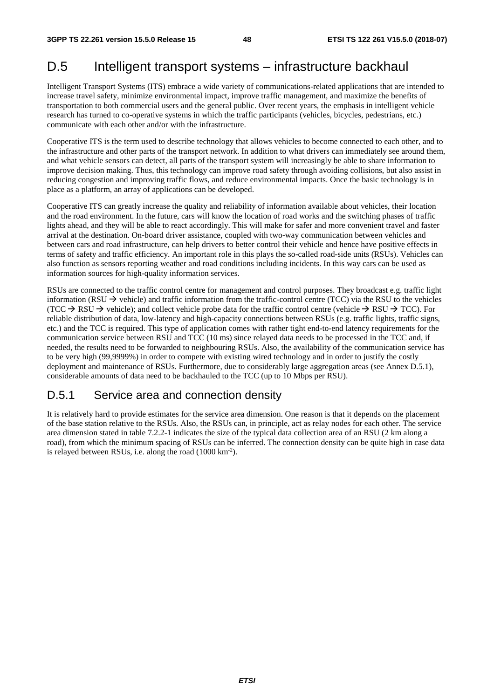## D.5 Intelligent transport systems – infrastructure backhaul

Intelligent Transport Systems (ITS) embrace a wide variety of communications-related applications that are intended to increase travel safety, minimize environmental impact, improve traffic management, and maximize the benefits of transportation to both commercial users and the general public. Over recent years, the emphasis in intelligent vehicle research has turned to co-operative systems in which the traffic participants (vehicles, bicycles, pedestrians, etc.) communicate with each other and/or with the infrastructure.

Cooperative ITS is the term used to describe technology that allows vehicles to become connected to each other, and to the infrastructure and other parts of the transport network. In addition to what drivers can immediately see around them, and what vehicle sensors can detect, all parts of the transport system will increasingly be able to share information to improve decision making. Thus, this technology can improve road safety through avoiding collisions, but also assist in reducing congestion and improving traffic flows, and reduce environmental impacts. Once the basic technology is in place as a platform, an array of applications can be developed.

Cooperative ITS can greatly increase the quality and reliability of information available about vehicles, their location and the road environment. In the future, cars will know the location of road works and the switching phases of traffic lights ahead, and they will be able to react accordingly. This will make for safer and more convenient travel and faster arrival at the destination. On-board driver assistance, coupled with two-way communication between vehicles and between cars and road infrastructure, can help drivers to better control their vehicle and hence have positive effects in terms of safety and traffic efficiency. An important role in this plays the so-called road-side units (RSUs). Vehicles can also function as sensors reporting weather and road conditions including incidents. In this way cars can be used as information sources for high-quality information services.

RSUs are connected to the traffic control centre for management and control purposes. They broadcast e.g. traffic light information (RSU  $\rightarrow$  vehicle) and traffic information from the traffic-control centre (TCC) via the RSU to the vehicles (TCC  $\rightarrow$  RSU  $\rightarrow$  vehicle); and collect vehicle probe data for the traffic control centre (vehicle  $\rightarrow$  RSU  $\rightarrow$  TCC). For reliable distribution of data, low-latency and high-capacity connections between RSUs (e.g. traffic lights, traffic signs, etc.) and the TCC is required. This type of application comes with rather tight end-to-end latency requirements for the communication service between RSU and TCC (10 ms) since relayed data needs to be processed in the TCC and, if needed, the results need to be forwarded to neighbouring RSUs. Also, the availability of the communication service has to be very high (99,9999%) in order to compete with existing wired technology and in order to justify the costly deployment and maintenance of RSUs. Furthermore, due to considerably large aggregation areas (see Annex D.5.1), considerable amounts of data need to be backhauled to the TCC (up to 10 Mbps per RSU).

## D.5.1 Service area and connection density

It is relatively hard to provide estimates for the service area dimension. One reason is that it depends on the placement of the base station relative to the RSUs. Also, the RSUs can, in principle, act as relay nodes for each other. The service area dimension stated in table 7.2.2-1 indicates the size of the typical data collection area of an RSU (2 km along a road), from which the minimum spacing of RSUs can be inferred. The connection density can be quite high in case data is relayed between RSUs, i.e. along the road (1000 km-2).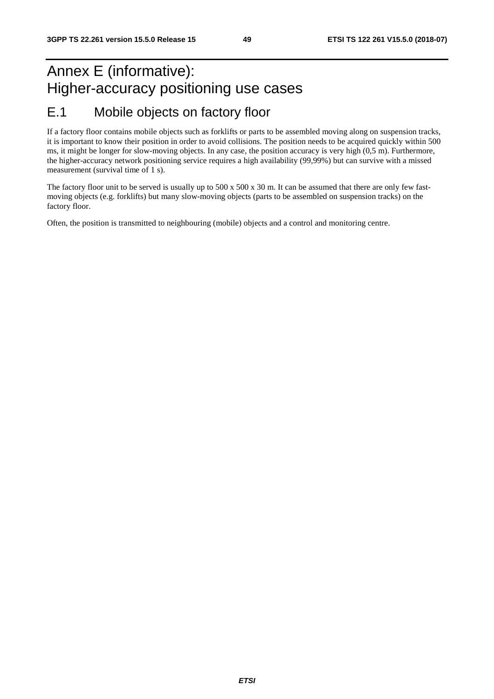## Annex E (informative): Higher-accuracy positioning use cases E.1 Mobile objects on factory floor

If a factory floor contains mobile objects such as forklifts or parts to be assembled moving along on suspension tracks, it is important to know their position in order to avoid collisions. The position needs to be acquired quickly within 500 ms, it might be longer for slow-moving objects. In any case, the position accuracy is very high (0,5 m). Furthermore, the higher-accuracy network positioning service requires a high availability (99,99%) but can survive with a missed measurement (survival time of 1 s).

The factory floor unit to be served is usually up to 500 x 500 x 30 m. It can be assumed that there are only few fastmoving objects (e.g. forklifts) but many slow-moving objects (parts to be assembled on suspension tracks) on the factory floor.

Often, the position is transmitted to neighbouring (mobile) objects and a control and monitoring centre.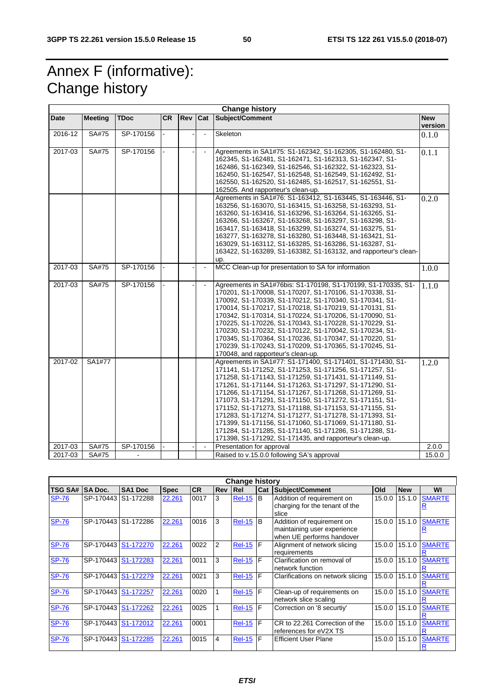## Annex F (informative): Change history

| <b>Change history</b> |                |             |           |     |                |                                                                                                                                                                                                                                                                                                                                                                                                                                                                                                                                                                                                                                                                           |                       |  |
|-----------------------|----------------|-------------|-----------|-----|----------------|---------------------------------------------------------------------------------------------------------------------------------------------------------------------------------------------------------------------------------------------------------------------------------------------------------------------------------------------------------------------------------------------------------------------------------------------------------------------------------------------------------------------------------------------------------------------------------------------------------------------------------------------------------------------------|-----------------------|--|
| Date                  | <b>Meeting</b> | <b>TDoc</b> | <b>CR</b> | Rev | <b>Cat</b>     | Subject/Comment                                                                                                                                                                                                                                                                                                                                                                                                                                                                                                                                                                                                                                                           | <b>New</b><br>version |  |
| 2016-12               | SA#75          | SP-170156   |           |     |                | Skeleton                                                                                                                                                                                                                                                                                                                                                                                                                                                                                                                                                                                                                                                                  | 0.1.0                 |  |
| 2017-03               | SA#75          | SP-170156   |           |     | $\blacksquare$ | Agreements in SA1#75: S1-162342, S1-162305, S1-162480, S1-<br>162345, S1-162481, S1-162471, S1-162313, S1-162347, S1-<br>162486, S1-162349, S1-162546, S1-162322, S1-162323, S1-<br>162450, S1-162547, S1-162548, S1-162549, S1-162492, S1-<br>162550, S1-162520, S1-162485, S1-162517, S1-162551, S1-<br>162505. And rapporteur's clean-up.                                                                                                                                                                                                                                                                                                                              | 0.1.1                 |  |
|                       |                |             |           |     |                | Agreements in SA1#76: S1-163412, S1-163445, S1-163446, S1-<br>163256, S1-163070, S1-163415, S1-163258, S1-163293, S1-<br>163260, S1-163416, S1-163296, S1-163264, S1-163265, S1-<br>163266, S1-163267, S1-163268, S1-163297, S1-163298, S1-<br>163417, S1-163418, S1-163299, S1-163274, S1-163275, S1-<br>163277, S1-163278, S1-163280, S1-163448, S1-163421, S1-<br>163029, S1-163112, S1-163285, S1-163286, S1-163287, S1-<br>163422, S1-163289, S1-163382, S1-163132, and rapporteur's clean-<br>up.                                                                                                                                                                   | 0.2.0                 |  |
| 2017-03               | SA#75          | SP-170156   |           |     | $\blacksquare$ | MCC Clean-up for presentation to SA for information                                                                                                                                                                                                                                                                                                                                                                                                                                                                                                                                                                                                                       | 1.0.0                 |  |
| 2017-03               | SA#75          | SP-170156   |           |     |                | Agreements in SA1#76bis: S1-170198, S1-170199, S1-170335, S1-<br>170201, S1-170008, S1-170207, S1-170106, S1-170338, S1-<br>170092, S1-170339, S1-170212, S1-170340, S1-170341, S1-<br>170014, S1-170217, S1-170218, S1-170219, S1-170131, S1-<br>170342, S1-170314, S1-170224, S1-170206, S1-170090, S1-<br>170225, S1-170226, S1-170343, S1-170228, S1-170229, S1-<br>170230, S1-170232, S1-170122, S1-170042, S1-170234, S1-<br>170345, S1-170364, S1-170236, S1-170347, S1-170220, S1-<br>170239, S1-170243, S1-170209, S1-170365, S1-170245, S1-<br>170048, and rapporteur's clean-up.                                                                               | 1.1.0                 |  |
| 2017-02               | SA1#77         |             |           |     |                | Agreements in SA1#77: S1-171400, S1-171401, S1-171430, S1-<br>171141, S1-171252, S1-171253, S1-171256, S1-171257, S1-<br>171258, S1-171143, S1-171259, S1-171431, S1-171149, S1-<br>171261, S1-171144, S1-171263, S1-171297, S1-171290, S1-<br>171266, S1-171154, S1-171267, S1-171268, S1-171269, S1-<br>171073, S1-171291, S1-171150, S1-171272, S1-171151, S1-<br>171152, S1-171273, S1-171188, S1-171153, S1-171155, S1-<br>171283, S1-171274, S1-171277, S1-171278, S1-171393, S1-<br>171399, S1-171156, S1-171060, S1-171069, S1-171180, S1-<br>171284, S1-171285, S1-171140, S1-171286, S1-171288, S1-<br>171398, S1-171292, S1-171435, and rapporteur's clean-up. | 1.2.0                 |  |
| 2017-03               | SA#75          | SP-170156   |           |     | $\blacksquare$ | Presentation for approval                                                                                                                                                                                                                                                                                                                                                                                                                                                                                                                                                                                                                                                 | 2.0.0                 |  |
| 2017-03               | SA#75          |             |           |     |                | Raised to v.15.0.0 following SA's approval                                                                                                                                                                                                                                                                                                                                                                                                                                                                                                                                                                                                                                | 15.0.0                |  |

| <b>Change history</b> |                     |                     |             |           |                |                 |     |                                                                                        |        |            |               |
|-----------------------|---------------------|---------------------|-------------|-----------|----------------|-----------------|-----|----------------------------------------------------------------------------------------|--------|------------|---------------|
| <b>TSG SA#</b>        | <b>SA Doc.</b>      | SA <sub>1</sub> Doc | <b>Spec</b> | <b>CR</b> | <b>Rev Rel</b> |                 | Cat | <b>Subject/Comment</b>                                                                 | Old    | <b>New</b> | WI            |
| <b>SP-76</b>          | SP-170443           | S1-172288           | 22.261      | 0017      | 3              | <b>Rel-15</b>   | B   | Addition of requirement on<br>charging for the tenant of the<br>slice                  | 15.0.0 | 15.1.0     | <b>SMARTE</b> |
| <b>SP-76</b>          | SP-170443           | S1-172286           | 22.261      | 0016      | 3              | <b>Rel-15</b>   | B   | Addition of requirement on<br>maintaining user experience<br>when UE performs handover | 15.0.0 | 15.1.0     | <b>SMARTE</b> |
| <b>SP-76</b>          | SP-170443 S1-172270 |                     | 22.261      | 0022      | 2              | $Rel-15$ $F$    |     | Alignment of network slicing<br>requirements                                           | 15.0.0 | 15.1.0     | <b>SMARTE</b> |
| <b>SP-76</b>          | SP-170443           | S1-172283           | 22.261      | 0011      | 3              | $Rel-15$ $F$    |     | Clarification on removal of<br>network function                                        | 15.0.0 | 15.1.0     | <b>SMARTE</b> |
| <b>SP-76</b>          | SP-170443 S1-172279 |                     | 22.261      | 0021      | 3              | <b>Rel-15 F</b> |     | Clarifications on network slicing                                                      | 15.0.0 | 15.1.0     | <b>SMARTE</b> |
| <b>SP-76</b>          | SP-170443           | S1-172257           | 22.261      | 0020      |                | $Rel-15$ $F$    |     | Clean-up of requirements on<br>network slice scaling                                   | 15.0.0 | 15.1.0     | <b>SMARTE</b> |
| <b>SP-76</b>          | SP-170443 S1-172262 |                     | 22.261      | 0025      |                | <b>Rel-15</b>   | F   | Correction on '8 securtiy'                                                             | 15.0.0 | 15.1.0     | <b>SMARTE</b> |
| <b>SP-76</b>          | SP-170443           | S1-172012           | 22.261      | 0001      |                | $Rel-15$ F      |     | CR to 22.261 Correction of the<br>references for eV2X TS                               | 15.0.0 | 15.1.0     | <b>SMARTE</b> |
| <b>SP-76</b>          | SP-170443           | S1-172285           | 22.261      | 0015      | 4              | $Rel-15$ $F$    |     | <b>Efficient User Plane</b>                                                            | 15.0.0 | 15.1.0     | <b>SMARTE</b> |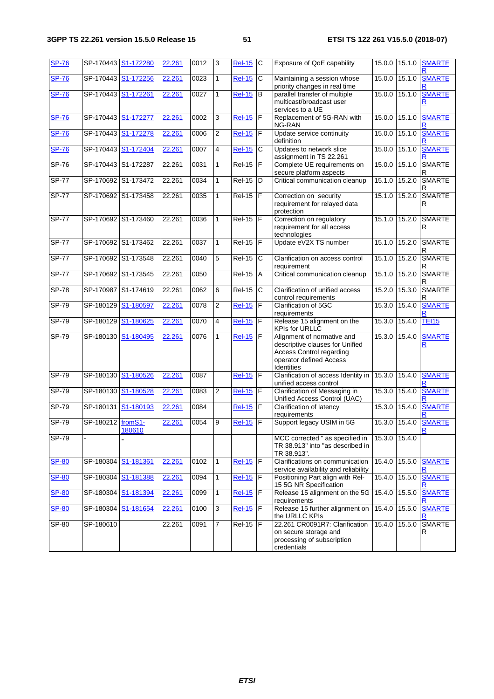| <b>SP-76</b> | SP-170443 S1-172280 |                     | 22.261 | 0012 | 3              | <b>Rel-15 C</b> |                | Exposure of QoE capability                                                                                                                | 15.0.0        | 15.1.0 | <b>SMARTE</b>             |
|--------------|---------------------|---------------------|--------|------|----------------|-----------------|----------------|-------------------------------------------------------------------------------------------------------------------------------------------|---------------|--------|---------------------------|
| <b>SP-76</b> | SP-170443           | S1-172256           | 22.261 | 0023 | $\mathbf{1}$   | <b>Rel-15</b>   | C              | Maintaining a session whose<br>priority changes in real time                                                                              | 15.0.0        | 15.1.0 | <b>SMARTE</b>             |
| <b>SP-76</b> | SP-170443           | S1-172261           | 22.261 | 0027 | $\mathbf{1}$   | <b>Rel-15</b>   | $\sf B$        | parallel transfer of multiple<br>multicast/broadcast user<br>services to a UE                                                             | 15.0.0        | 15.1.0 | <b>SMARTE</b><br>R        |
| <b>SP-76</b> | SP-170443 S1-172277 |                     | 22.261 | 0002 | 3              | <b>Rel-15</b>   | $\overline{F}$ | Replacement of 5G-RAN with<br>NG-RAN                                                                                                      | 15.0.0        | 15.1.0 | <b>SMARTE</b>             |
| <b>SP-76</b> | SP-170443           | S1-172278           | 22.261 | 0006 | 2              | <b>Rel-15</b>   | F              | Update service continuity<br>definition                                                                                                   | 15.0.0        | 15.1.0 | <b>SMARTE</b>             |
| <b>SP-76</b> | SP-170443           | S1-172404           | 22.261 | 0007 | 4              | $Rel-15$        | $\mathsf{C}$   | Updates to network slice<br>assignment in TS 22.261                                                                                       | 15.0.0        | 15.1.0 | <b>SMARTE</b>             |
| $SP-76$      | SP-170443 S1-172287 |                     | 22.261 | 0031 | $\mathbf{1}$   | $Rel-15$ $F$    |                | Complete UE requirements on<br>secure platform aspects                                                                                    | 15.0.0        | 15.1.0 | <b>SMARTE</b><br>R        |
| <b>SP-77</b> | SP-170692           | S1-173472           | 22.261 | 0034 | $\mathbf{1}$   | $Rel-15$        | D              | Critical communication cleanup                                                                                                            | 15.1.0        | 15.2.0 | <b>SMARTE</b><br>R        |
| <b>SP-77</b> |                     | SP-170692 S1-173458 | 22.261 | 0035 | $\mathbf{1}$   | $Rel-15$ F      |                | Correction on security<br>requirement for relayed data<br>protection                                                                      | 15.1.0        | 15.2.0 | <b>SMARTE</b><br>R        |
| <b>SP-77</b> | SP-170692           | S1-173460           | 22.261 | 0036 | $\mathbf{1}$   | $Rel-15$ $F$    |                | Correction on regulatory<br>requirement for all access<br>technologies                                                                    | 15.1.0        | 15.2.0 | SMARTE<br>R               |
| <b>SP-77</b> | SP-170692 S1-173462 |                     | 22.261 | 0037 | $\mathbf{1}$   | $Rel-15$ $F$    |                | Update eV2X TS number                                                                                                                     | 15.1.0        | 15.2.0 | <b>SMARTE</b><br>R        |
| $SP-77$      | SP-170692 S1-173548 |                     | 22.261 | 0040 | 5              | $Rel-15$        | C              | Clarification on access control<br>requirement                                                                                            | 15.1.0        | 15.2.0 | <b>SMARTE</b><br>R        |
| <b>SP-77</b> | SP-170692 S1-173545 |                     | 22.261 | 0050 |                | $Rel-15$        | A              | Critical communication cleanup                                                                                                            | 15.1.0        | 15.2.0 | <b>SMARTE</b><br>R        |
| <b>SP-78</b> | SP-170987           | S1-174619           | 22.261 | 0062 | 6              | <b>Rel-15</b>   | $\overline{c}$ | Clarification of unified access<br>control requirements                                                                                   | 15.2.0        | 15.3.0 | <b>SMARTE</b><br>R        |
| $SP-79$      | SP-180129           | S1-180597           | 22.261 | 0078 | 2              | <b>Rel-15</b>   | F              | Clarification of 5GC<br>requirements                                                                                                      | 15.3.0        | 15.4.0 | <b>SMARTE</b>             |
| $SP-79$      | SP-180129           | S1-180625           | 22.261 | 0070 | 4              | <b>Rel-15</b>   | $\mathsf F$    | Release 15 alignment on the<br><b>KPIs for URLLC</b>                                                                                      | 15.3.0        | 15.4.0 | <b>TEI15</b>              |
| $SP-79$      | SP-180130           | S1-180495           | 22.261 | 0076 | $\mathbf{1}$   | <b>Rel-15</b>   | F              | Alignment of normative and<br>descriptive clauses for Unified<br><b>Access Control regarding</b><br>operator defined Access<br>Identities | 15.3.0        | 15.4.0 | <b>SMARTE</b><br><u>R</u> |
| SP-79        | SP-180130           | S1-180526           | 22.261 | 0087 |                | <b>Rel-15</b>   | $\mathsf F$    | Clarification of access Identity in 15.3.0<br>unified access control                                                                      |               | 15.4.0 | <b>SMARTE</b><br>R        |
| $SP-79$      | SP-180130           | S1-180528           | 22.261 | 0083 | $\overline{2}$ | <b>Rel-15</b>   | $\mathsf F$    | Clarification of Messaging in<br>Unified Access Control (UAC)                                                                             | 15.3.0        | 15.4.0 | <b>SMARTE</b>             |
| $SP-79$      | SP-180131           | S1-180193           | 22.261 | 0084 |                | <b>Rel-15</b>   | F              | Clarification of latency<br>requirements                                                                                                  | 15.3.0        | 15.4.0 | <b>SMARTE</b>             |
| $SP-79$      | SP-180212 fromS1-   | 180610              | 22.261 | 0054 | 9              | <b>Rel-15</b>   | $\overline{F}$ | Support legacy USIM in 5G                                                                                                                 | 15.3.0        | 15.4.0 | <b>SMARTE</b>             |
| <b>SP-79</b> |                     |                     |        |      |                |                 |                | MCC corrected " as specified in<br>TR 38.913" into "as described in<br>TR 38.913".                                                        | 15.3.0 15.4.0 |        |                           |
| <b>SP-80</b> | SP-180304           | S1-181361           | 22.261 | 0102 | 1              | <b>Rel-15</b>   | $\mathsf F$    | Clarifications on communication<br>service availability and reliability                                                                   | 15.4.0        |        | 15.5.0 SMARTE             |
| <b>SP-80</b> | SP-180304           | S1-181388           | 22.261 | 0094 | 1              | $Rel-15$        | F              | Positioning Part align with Rel-<br>15 5G NR Specification                                                                                | 15.4.0        | 15.5.0 | <b>SMARTE</b><br>R        |
| <b>SP-80</b> | SP-180304           | S1-181394           | 22.261 | 0099 | $\mathbf{1}$   | <b>Rel-15</b>   | $\mathsf F$    | Release 15 alignment on the 5G<br>requirements                                                                                            | 15.4.0        | 15.5.0 | <b>SMARTE</b><br>R        |
| <b>SP-80</b> | SP-180304           | S1-181654           | 22.261 | 0100 | $\overline{3}$ | $Rel-15$        | F              | Release 15 further alignment on<br>the URLLC KPIs                                                                                         | 15.4.0        | 15.5.0 | <b>SMARTE</b><br>R        |
| $SP-80$      | SP-180610           |                     | 22.261 | 0091 | $\overline{7}$ | $Rel-15$ $F$    |                | 22.261 CR0091R7: Clarification<br>on secure storage and<br>processing of subscription<br>credentials                                      | 15.4.0        | 15.5.0 | SMARTE<br>R               |